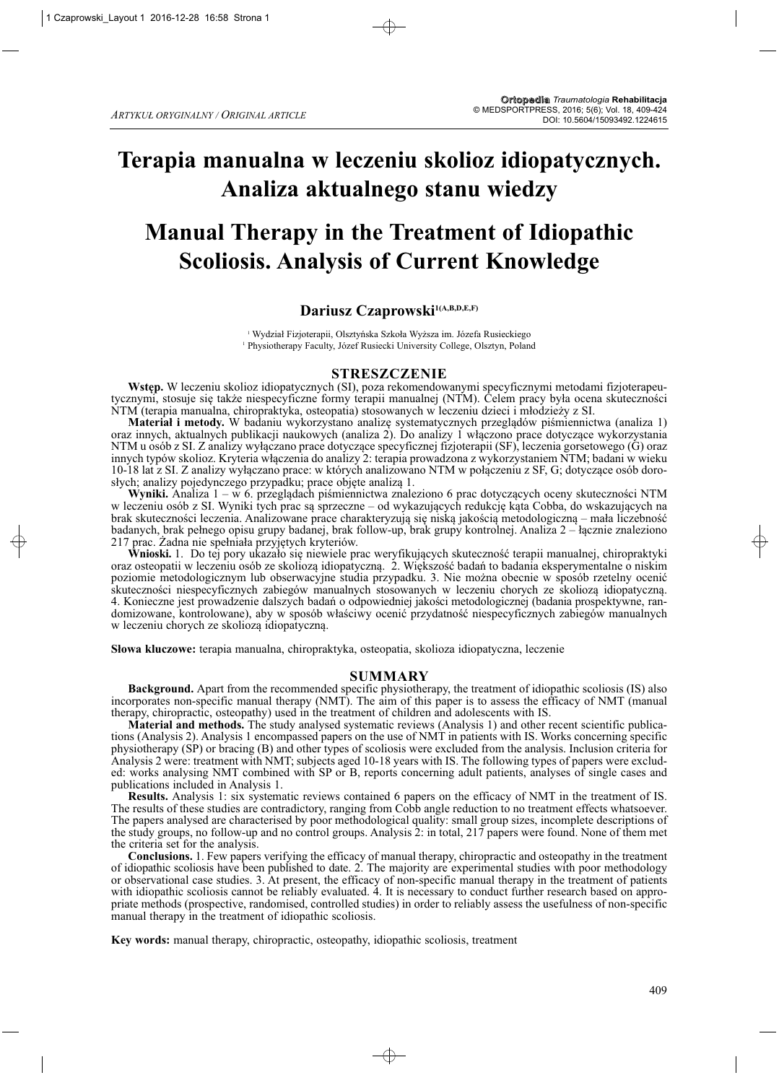# **Terapia manualna w leczeniu skolioz idiopatycznych. Analiza aktualnego stanu wiedzy**

# **Manual Therapy in the Treatment of Idiopathic Scoliosis. Analysis of Current Knowledge**

# Dariusz Czaprowski<sup>1(A,B,D,E,F)</sup>

<sup>1</sup> Wydział Fizjoterapii, Olsztyńska Szkoła Wyższa im. Józefa Rusieckiego <sup>1</sup> Physiotherapy Faculty, Józef Rusiecki University College, Olsztyn, Poland

#### **STRESZCZENIE**

**Wstęp.** W leczeniu skolioz idiopatycznych (SI), poza rekomendowanymi specyficznymi metodami fizjoterapeutycznymi, stosuje się także niespecyficzne formy terapii manualnej (NTM). Celem pracy była ocena skuteczności NTM (terapia manualna, chiropraktyka, osteopatia) stosowanych w leczeniu dzieci i młodzieży z SI.

**Materiał i metody.** W badaniu wykorzystano analizę systematycznych przeglądów piśmiennictwa (analiza 1) oraz innych, aktualnych publikacji naukowych (analiza 2). Do analizy 1 włączono prace dotyczące wykorzystania NTM u osób z SI. Z analizy wyłączano prace dotyczące specyficznej fizjoterapii (SF), leczenia gorsetowego (G) oraz innych typów skolioz. Kryteria włączenia do analizy 2: terapia prowadzona z wykorzystaniem NTM; badani w wieku 10-18 lat z SI. Z analizy wyłączano prace: w których analizowano NTM w połączeniu z SF, G; dotyczące osób dorosłych; analizy pojedynczego przypadku; prace objęte analizą 1.

**Wyniki.** Analiza 1 – w 6. przeglądach piśmiennictwa znaleziono 6 prac dotyczących oceny skuteczności NTM w leczeniu osób z SI. Wyniki tych prac są sprzeczne – od wykazujących redukcję kąta Cobba, do wskazujących na brak skuteczności leczenia. Analizowane prace charakteryzują się niską jakością metodologiczną – mała liczebność badanych, brak pełnego opisu grupy badanej, brak follow-up, brak grupy kontrolnej. Analiza 2 – łącznie znaleziono 217 prac. Żadna nie spełniała przyjętych kryteriów.

**Wnioski.** 1. Do tej pory ukazało się niewiele prac weryfikujących skuteczność terapii manualnej, chiropraktyki oraz osteopatii w leczeniu osób ze skoliozą idiopatyczną. 2. Większość badań to badania eksperymentalne o niskim poziomie metodologicznym lub obserwacyjne studia przypadku. 3. Nie można obecnie w sposób rzetelny ocenić sku teczności niespecyficznych zabiegów manualnych stosowanych w leczeniu chorych ze skoliozą idiopatyczną. 4. Konieczne jest prowadzenie dalszych badań o odpowiedniej jakości metodologicznej (badania prospektywne, randomizowane, kontrolowane), aby w sposób właściwy ocenić przydatność niespecyficznych zabiegów manualnych w leczeniu chorych ze skoliozą idiopatyczną.

**Słowa kluczowe:** terapia manualna, chiropraktyka, osteopatia, skolioza idiopatyczna, leczenie

#### **SUMMARY**

**Background.** Apart from the recommended specific physiotherapy, the treatment of idiopathic scoliosis (IS) also incorporates non-specific manual therapy (NMT). The aim of this paper is to assess the efficacy of NMT (manual therapy, chiropractic, osteopathy) used in the treatment of children and adolescents with IS.

**Material and methods.** The study analysed systematic reviews (Analysis 1) and other recent scientific publications (Analysis 2). Analysis 1 encompassed papers on the use of NMT in patients with IS. Works concerning specific physiotherapy (SP) or bracing (B) and other types of scoliosis were excluded from the analysis. Inclusion criteria for Analysis 2 were: treatment with NMT; subjects aged 10-18 years with IS. The following types of papers were excluded: works analysing NMT combined with SP or B, reports concerning adult patients, analyses of single cases and publications included in Analysis 1.

**Results.** Analysis 1: six systematic reviews contained 6 papers on the efficacy of NMT in the treatment of IS. The results of these studies are contradictory, ranging from Cobb angle reduction to no treatment effects whatsoever. The papers analysed are characterised by poor methodological quality: small group sizes, incomplete descriptions of the study groups, no follow-up and no control groups. Analysis 2: in total, 217 papers were found. None of them met the criteria set for the analysis.

**Conclusions.** 1. Few papers verifying the efficacy of manual therapy, chiropractic and osteopathy in the treatment of idiopathic scoliosis have been published to date. 2. The majority are experimental studies with poor methodology or observational case studies. 3. At present, the efficacy of non-specific manual therapy in the treatment of patients with idiopathic scoliosis cannot be reliably evaluated. 4. It is necessary to conduct further research based on appropriate methods (prospective, randomised, controlled studies) in order to reliably assess the usefulness of non-specific manual therapy in the treatment of idiopathic scoliosis.

**Key words:** manual therapy, chiropractic, osteopathy, idiopathic scoliosis, treatment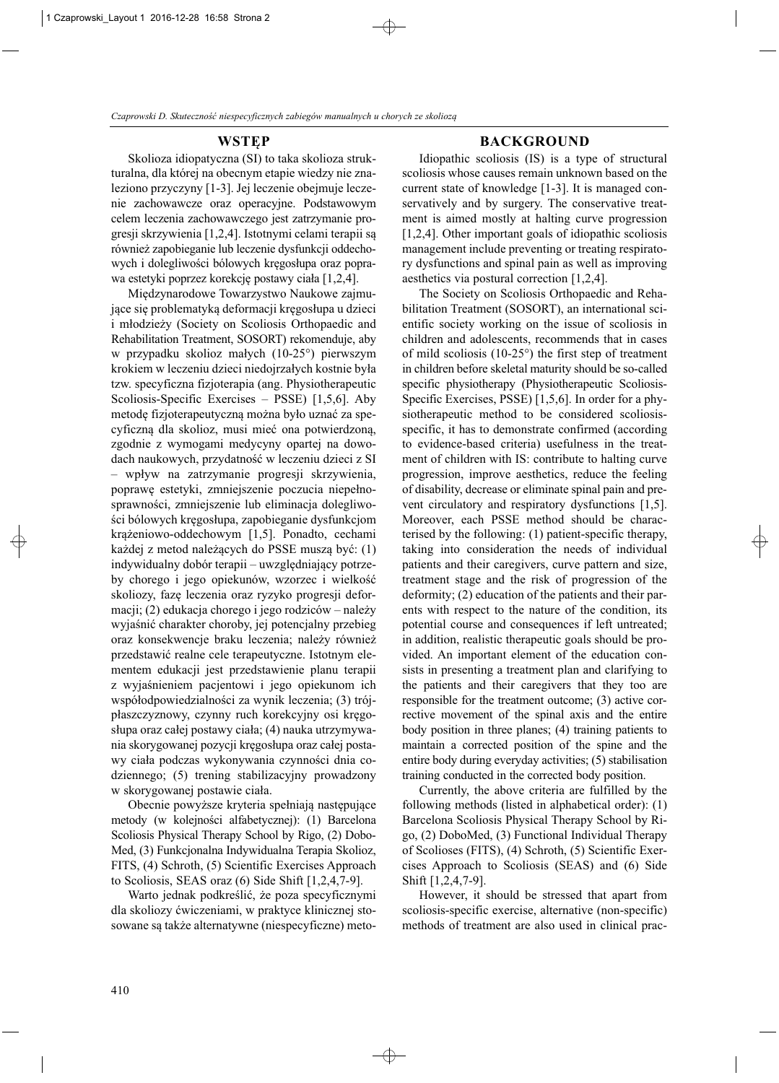# **WSTĘP**

Skolioza idiopatyczna (SI) to taka skolioza strukturalna, dla której na obecnym etapie wiedzy nie znaleziono przyczyny [1-3]. Jej leczenie obejmuje leczenie zachowawcze oraz operacyjne. Podstawowym celem leczenia zachowawczego jest zatrzymanie progresji skrzywienia [1,2,4]. Istotnymi celami terapii są również zapobieganie lub leczenie dysfunkcji oddechowych i dolegliwości bólowych kręgosłupa oraz poprawa estetyki poprzez korekcję postawy ciała [1,2,4].

Międzynarodowe Towarzystwo Naukowe zajmujące się problematyką deformacji kręgosłupa u dzieci i młodzieży (Society on Scoliosis Orthopaedic and Rehabilitation Treatment, SOSORT) rekomenduje, aby w przypadku skolioz małych (10-25°) pierwszym krokiem w leczeniu dzieci niedojrzałych kostnie była tzw. specyficzna fizjoterapia (ang. Physiotherapeutic Scoliosis-Specific Exercises – PSSE) [1,5,6]. Aby metodę fizjoterapeutyczną można było uznać za specyficzną dla skolioz, musi mieć ona potwierdzoną, zgodnie z wymogami medycyny opartej na dowodach naukowych, przydatność w leczeniu dzieci z SI – wpływ na zatrzymanie progresji skrzywienia, poprawę estetyki, zmniejszenie poczucia niepełnosprawności, zmniejszenie lub eliminacja dolegliwości bólowych kręgosłupa, zapobieganie dysfunkcjom krążeniowo-oddechowym [1,5]. Ponadto, cechami każdej z metod należących do PSSE muszą być: (1) indywidualny dobór terapii – uwzględniający potrzeby chorego i jego opiekunów, wzorzec i wielkość skoliozy, fazę leczenia oraz ryzyko progresji deformacji; (2) edukacja chorego i jego rodziców – należy wyjaśnić charakter choroby, jej potencjalny przebieg oraz konsekwencje braku leczenia; należy również przedstawić realne cele terapeutyczne. Istotnym elementem edukacji jest przedstawienie planu terapii z wyjaśnieniem pacjentowi i jego opiekunom ich współodpowiedzialności za wynik leczenia; (3) trójpłaszczyznowy, czynny ruch korekcyjny osi kręgosłupa oraz całej postawy ciała; (4) nauka utrzymywania skorygowanej pozycji kręgosłupa oraz całej postawy ciała podczas wykonywania czynności dnia codziennego; (5) trening stabilizacyjny prowadzony w skorygowanej postawie ciała.

Obecnie powyższe kryteria spełniają następujące metody (w kolejności alfabetycznej): (1) Barcelona Scoliosis Physical Therapy School by Rigo, (2) Dobo-Med, (3) Funkcjonalna Indywidualna Terapia Skolioz, FITS, (4) Schroth, (5) Scientific Exercises Approach to Scoliosis, SEAS oraz (6) Side Shift [1,2,4,7-9].

Warto jednak podkreślić, że poza specyficznymi dla skoliozy ćwiczeniami, w praktyce klinicznej stosowane są także alternatywne (niespecyficzne) meto-

# **BACKGROUND**

Idiopathic scoliosis (IS) is a type of structural scoliosis whose causes remain unknown based on the current state of knowledge [1-3]. It is managed conservatively and by surgery. The conservative treatment is aimed mostly at halting curve progression [1,2,4]. Other important goals of idiopathic scoliosis management include preventing or treating respiratory dysfunctions and spinal pain as well as improving aesthetics via postural correction [1,2,4].

The Society on Scoliosis Orthopaedic and Rehabilitation Treatment (SOSORT), an international scientific society working on the issue of scoliosis in children and adolescents, recommends that in cases of mild scoliosis (10-25°) the first step of treatment in children before skeletal maturity should be so-called specific physiotherapy (Physiotherapeutic Scoliosis-Specific Exercises, PSSE)  $[1,5,6]$ . In order for a physiotherapeutic method to be considered scoliosisspecific, it has to demonstrate confirmed (according to evidence-based criteria) usefulness in the treatment of children with IS: contribute to halting curve progression, improve aesthetics, reduce the feeling of disability, decrease or eliminate spinal pain and pre vent circulatory and respiratory dysfunctions [1,5]. Moreover, each PSSE method should be characterised by the following: (1) patient-specific therapy, taking into consideration the needs of individual patients and their caregivers, curve pattern and size, treatment stage and the risk of progression of the deformity; (2) education of the patients and their parents with respect to the nature of the condition, its potential course and consequences if left untreated; in addition, realistic therapeutic goals should be provided. An important element of the education consists in presenting a treatment plan and clarifying to the patients and their caregivers that they too are responsible for the treatment outcome; (3) active corrective movement of the spinal axis and the entire body position in three planes; (4) training patients to maintain a corrected position of the spine and the entire body during everyday activities; (5) stabilisation training conducted in the corrected body position.

Currently, the above criteria are fulfilled by the following methods (listed in alphabetical order): (1) Barcelona Scoliosis Physical Therapy School by Rigo, (2) DoboMed, (3) Functional Individual Therapy of Scolioses (FITS), (4) Schroth, (5) Scientific Exer cises Approach to Scoliosis (SEAS) and (6) Side Shift [1,2,4,7-9].

However, it should be stressed that apart from scoliosis-specific exercise, alternative (non-specific) methods of treatment are also used in clinical prac-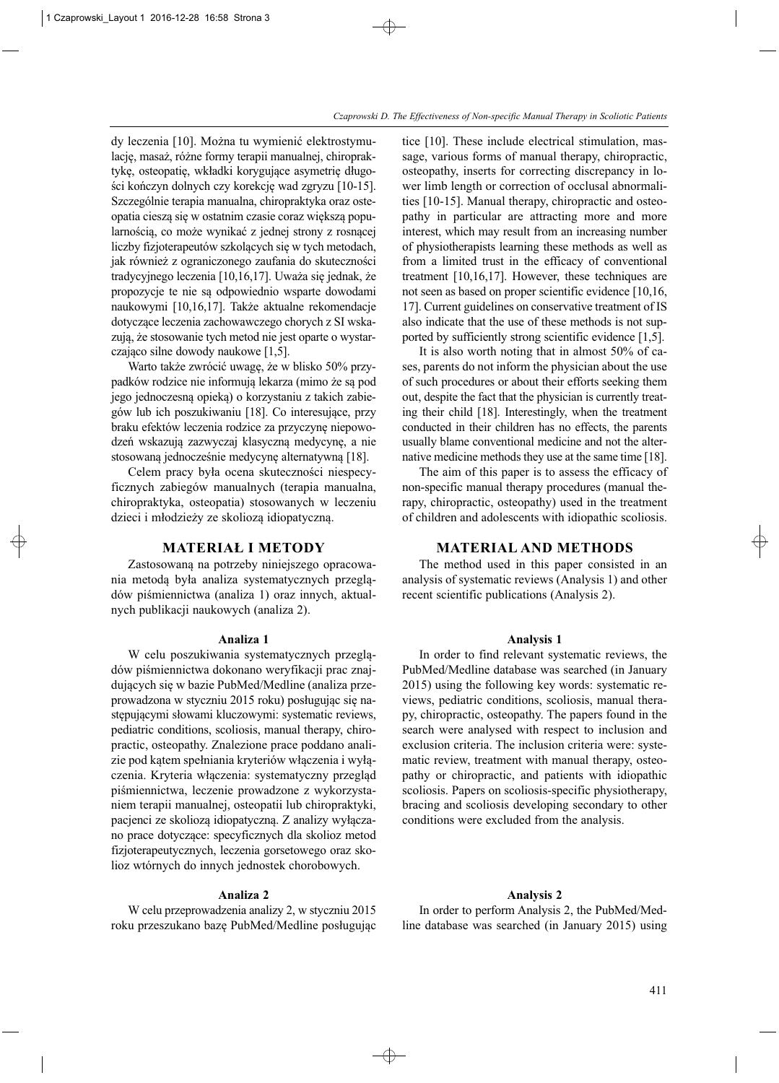dy leczenia [10]. Można tu wymienić elektrostymulację, masaż, różne formy terapii manualnej, chiropraktykę, osteopatię, wkładki korygujące asymetrię długości kończyn dolnych czy korekcję wad zgryzu [10-15]. Szczególnie terapia manualna, chiropraktyka oraz osteopatia cieszą się w ostatnim czasie coraz większą popularnością, co może wynikać z jednej strony z rosnącej liczby fizjoterapeutów szkolących się w tych metodach, jak również z ograniczonego zaufania do skuteczności tradycyjnego leczenia [10,16,17]. Uważa się jednak, że propozycje te nie są odpowiednio wsparte dowodami naukowymi [10,16,17]. Także aktualne rekomendacje dotyczące leczenia zachowawczego chorych z SI wskazują, że stosowanie tych metod nie jest oparte o wystarczająco silne dowody naukowe [1,5].

Warto także zwrócić uwagę, że w blisko 50% przypadków rodzice nie informują lekarza (mimo że są pod jego jednoczesną opieką) o korzystaniu z takich zabiegów lub ich poszukiwaniu [18]. Co interesujące, przy braku efektów leczenia rodzice za przyczynę niepowodzeń wskazują zazwyczaj klasyczną medycynę, a nie stosowaną jednocześnie medycynę alternatywną [18].

Celem pracy była ocena skuteczności niespecyficznych zabiegów manualnych (terapia manualna, chiropraktyka, osteopatia) stosowanych w leczeniu dzieci i młodzieży ze skoliozą idiopatyczną.

# **MATERIAŁ I METODY**

Zastosowaną na potrzeby niniejszego opracowania metodą była analiza systematycznych przeglądów piśmiennictwa (analiza 1) oraz innych, aktualnych publikacji naukowych (analiza 2).

#### **Analiza 1**

W celu poszukiwania systematycznych przeglądów piśmiennictwa dokonano weryfikacji prac znajdujących się w bazie PubMed/Medline (analiza przeprowadzona w styczniu 2015 roku) posługując się na stępującymi słowami kluczowymi: systematic reviews, pediatric conditions, scoliosis, manual therapy, chiropractic, osteopathy. Znalezione prace poddano analizie pod kątem spełniania kryteriów włączenia i wyłączenia. Kryteria włączenia: systematyczny przegląd piśmiennictwa, leczenie prowadzone z wykorzystaniem terapii manualnej, osteopatii lub chiropraktyki, pacjenci ze skoliozą idiopatyczną. Z analizy wyłączano prace dotyczące: specyficznych dla skolioz metod fizjoterapeutycznych, leczenia gorsetowego oraz sko lioz wtórnych do innych jednostek chorobowych.

#### **Analiza 2**

W celu przeprowadzenia analizy 2, w styczniu 2015 roku przeszukano bazę PubMed/Medline posługując tice [10]. These include electrical stimulation, massage, various forms of manual therapy, chiropractic, osteopathy, inserts for correcting discrepancy in lower limb length or correction of occlusal abnormalities [10-15]. Manual therapy, chiropractic and osteopathy in particular are attracting more and more interest, which may result from an increasing number of physiotherapists learning these methods as well as from a limited trust in the efficacy of conventional treatment [10,16,17]. However, these techniques are not seen as based on proper scientific evidence [10,16, 17]. Current guidelines on conservative treatment of IS also indicate that the use of these methods is not supported by sufficiently strong scientific evidence [1,5].

It is also worth noting that in almost  $50\%$  of cases, parents do not inform the physician about the use of such procedures or about their efforts seeking them out, despite the fact that the physician is currently treating their child [18]. Interestingly, when the treatment conducted in their children has no effects, the parents usually blame conventional medicine and not the alternative medicine methods they use at the same time [18].

The aim of this paper is to assess the efficacy of non-specific manual therapy procedures (manual the rapy, chiropractic, osteopathy) used in the treatment of children and adolescents with idiopathic scoliosis.

#### **MATERIAL AND METHODS**

The method used in this paper consisted in an analysis of systematic reviews (Analysis 1) and other recent scientific publications (Analysis 2).

#### **Analysis 1**

In order to find relevant systematic reviews, the PubMed/Medline database was searched (in January 2015) using the following key words: systematic re views, pediatric conditions, scoliosis, manual therapy, chiropractic, osteopathy. The papers found in the search were analysed with respect to inclusion and exclusion criteria. The inclusion criteria were: systematic review, treatment with manual therapy, osteopathy or chiropractic, and patients with idiopathic scoliosis. Papers on scoliosis-specific physiotherapy, bracing and scoliosis developing secondary to other conditions were excluded from the analysis.

#### **Analysis 2**

In order to perform Analysis 2, the PubMed/Medline database was searched (in January 2015) using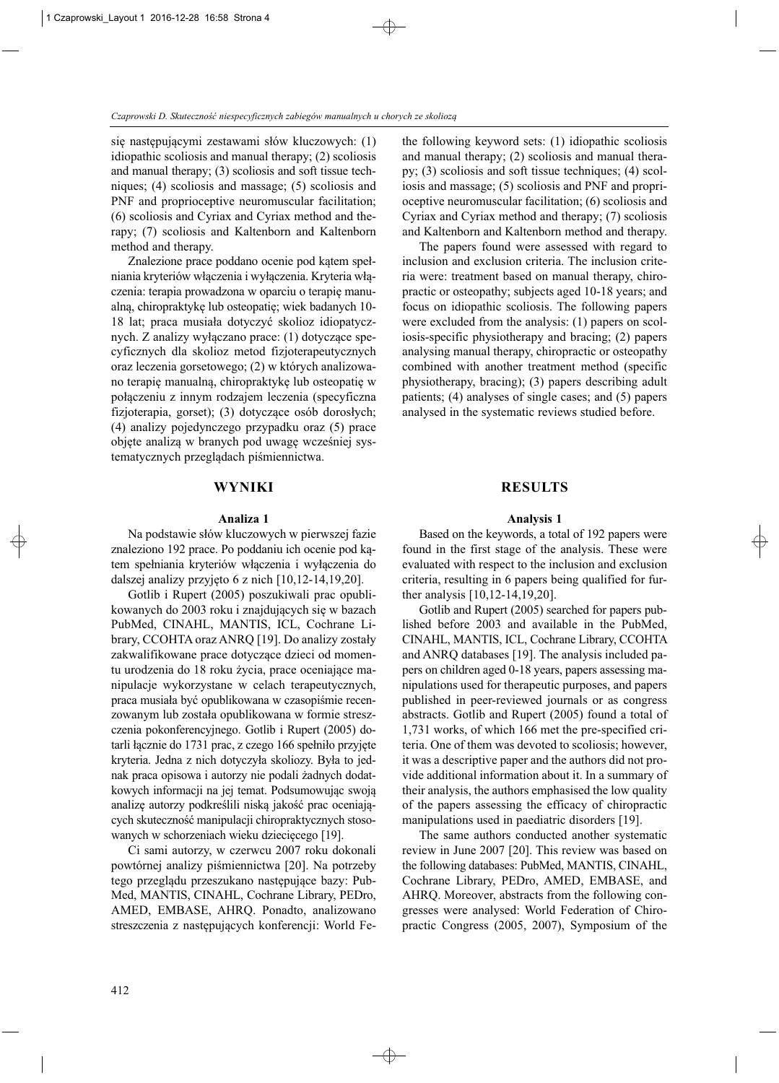się następującymi zestawami słów kluczowych: (1) idiopathic scoliosis and manual therapy; (2) scoliosis and manual therapy; (3) scoliosis and soft tissue techniques; (4) scoliosis and massage; (5) scoliosis and PNF and proprioceptive neuromuscular facilitation; (6) scoliosis and Cyriax and Cyriax method and the rapy; (7) scoliosis and Kaltenborn and Kaltenborn method and therapy.

Znalezione prace poddano ocenie pod kątem spełniania kryteriów włączenia i wyłączenia. Kryteria włączenia: terapia prowadzona w oparciu o terapię manualną, chiropraktykę lub osteopatię; wiek badanych 10- 18 lat; praca musiała dotyczyć skolioz idiopatycznych. Z analizy wyłączano prace: (1) dotyczące specyficznych dla skolioz metod fizjoterapeutycznych oraz leczenia gorsetowego; (2) w których analizowano terapię manualną, chiropraktykę lub osteopatię w połączeniu z innym rodzajem leczenia (specyficzna fizjoterapia, gorset); (3) dotyczące osób dorosłych; (4) analizy pojedynczego przypadku oraz (5) prace objęte analizą w branych pod uwagę wcześniej systematycznych przeglądach piśmiennictwa.

# **WYNIKI**

#### **Analiza 1**

Na podstawie słów kluczowych w pierwszej fazie znaleziono 192 prace. Po poddaniu ich ocenie pod kątem spełniania kryteriów włączenia i wyłączenia do dalszej analizy przyjęto 6 z nich [10,12-14,19,20].

Gotlib i Rupert (2005) poszukiwali prac opublikowanych do 2003 roku i znajdujących się w bazach PubMed, CINAHL, MANTIS, ICL, Cochrane Library, CCOHTA oraz ANRQ [19]. Do analizy zostały zakwalifikowane prace dotyczące dzieci od momentu urodzenia do 18 roku życia, prace oceniające manipulacje wykorzystane w celach terapeutycznych, praca musiała być opublikowana w czasopiśmie recenzowanym lub została opublikowana w formie streszczenia pokonferencyjnego. Gotlib i Rupert (2005) do tarli łącznie do 1731 prac, z czego 166 spełniło przyjęte kryteria. Jedna z nich dotyczyła skoliozy. Była to jednak praca opisowa i autorzy nie podali żadnych dodatkowych informacji na jej temat. Podsumowując swoją analizę autorzy podkreślili niską jakość prac oceniających skuteczność manipulacji chiropraktycznych stosowanych w schorzeniach wieku dziecięcego [19].

Ci sami autorzy, w czerwcu 2007 roku dokonali powtórnej analizy piśmiennictwa [20]. Na potrzeby tego przeglądu przeszukano następujące bazy: Pub - Med, MANTIS, CINAHL, Cochrane Library, PEDro, AMED, EMBASE, AHRQ. Ponadto, analizowano streszczenia z następujących konferencji: World Fethe following keyword sets: (1) idiopathic scoliosis and manual therapy; (2) scoliosis and manual therapy; (3) scoliosis and soft tissue techniques; (4) scoliosis and massage; (5) scoliosis and PNF and proprioceptive neuromuscular facilitation; (6) scoliosis and Cyriax and Cyriax method and therapy; (7) scoliosis and Kaltenborn and Kaltenborn method and therapy.

The papers found were assessed with regard to inclusion and exclusion criteria. The inclusion criteria were: treatment based on manual therapy, chiropractic or osteopathy; subjects aged 10-18 years; and focus on idiopathic scoliosis. The following papers were excluded from the analysis: (1) papers on scoliosis-specific physiotherapy and bracing; (2) papers analysing manual therapy, chiropractic or osteopathy combined with another treatment method (specific physiotherapy, bracing); (3) papers describing adult patients; (4) analyses of single cases; and (5) papers analysed in the systematic reviews studied before.

# **RESULTS**

#### **Analysis 1**

Based on the keywords, a total of 192 papers were found in the first stage of the analysis. These were evaluated with respect to the inclusion and exclusion criteria, resulting in 6 papers being qualified for further analysis [10,12-14,19,20].

Gotlib and Rupert (2005) searched for papers pub lished before 2003 and available in the PubMed, CINAHL, MANTIS, ICL, Cochrane Library, CCOHTA and ANRQ databases [19]. The analysis included papers on children aged 0-18 years, papers assessing manipulations used for therapeutic purposes, and papers published in peer-reviewed journals or as congress abstracts. Gotlib and Rupert (2005) found a total of 1,731 works, of which 166 met the pre-specified criteria. One of them was devoted to scoliosis; however, it was a descriptive paper and the authors did not provide additional information about it. In a summary of their analysis, the authors emphasised the low quality of the papers assessing the efficacy of chiropractic manipulations used in paediatric disorders [19].

The same authors conducted another systematic review in June 2007 [20]. This review was based on the following databases: PubMed, MANTIS, CINAHL, Cochrane Library, PEDro, AMED, EMBASE, and AHRQ. Moreover, abstracts from the following congresses were analysed: World Federation of Chiropractic Congress (2005, 2007), Symposium of the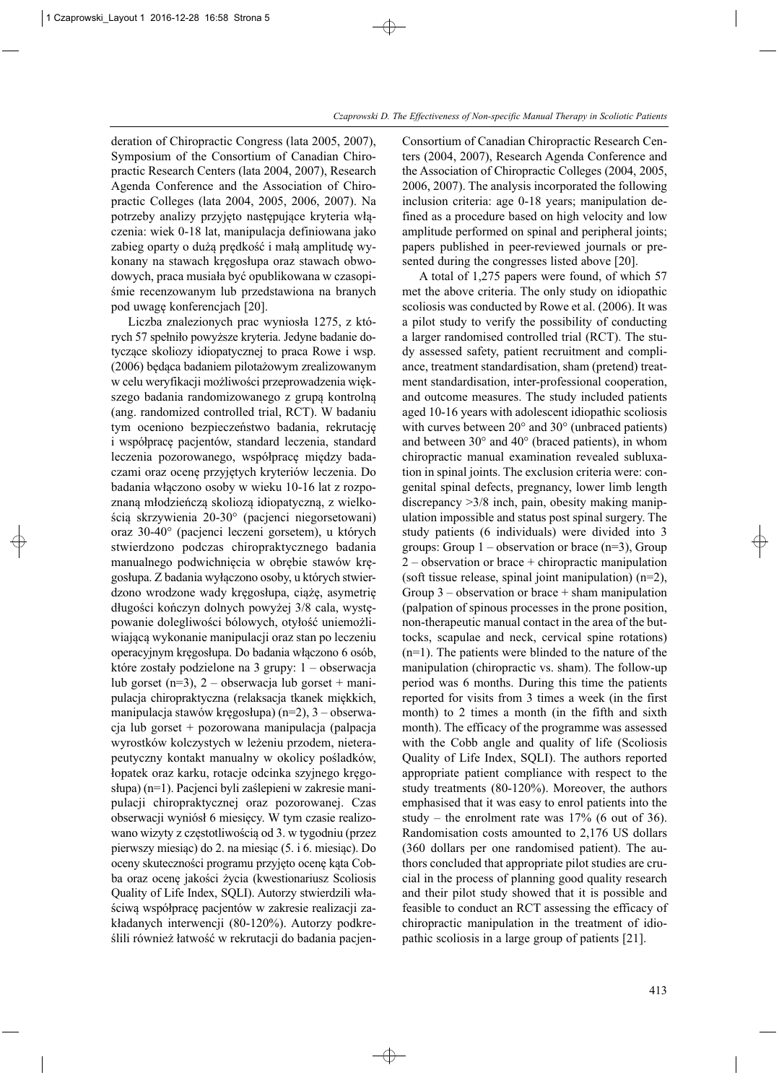deration of Chiropractic Congress (lata 2005, 2007), Symposium of the Consortium of Canadian Chiropractic Research Centers (lata 2004, 2007), Research Agenda Conference and the Association of Chiropractic Colleges (lata 2004, 2005, 2006, 2007). Na potrzeby analizy przyjęto następujące kryteria włączenia: wiek 0-18 lat, manipulacja definiowana jako zabieg oparty o dużą prędkość i małą amplitudę wy konany na stawach kręgosłupa oraz stawach obwodowych, praca musiała być opublikowana w czasopiśmie recenzowanym lub przedstawiona na branych pod uwagę konferencjach [20].

Liczba znalezionych prac wyniosła 1275, z których 57 spełniło powyższe kryteria. Jedyne badanie dotyczące skoliozy idiopatycznej to praca Rowe i wsp. (2006) będąca badaniem pilotażowym zrealizowanym w celu weryfikacji możliwości przeprowadzenia większego badania randomizowanego z grupą kontrolną (ang. randomized controlled trial, RCT). W badaniu tym oceniono bezpieczeństwo badania, rekrutację i współpracę pacjentów, standard leczenia, standard leczenia pozorowanego, współpracę między badaczami oraz ocenę przyjętych kryteriów leczenia. Do badania włączono osoby w wieku 10-16 lat z rozpoznaną młodzieńczą skoliozą idiopatyczną, z wielkością skrzywienia 20-30° (pacjenci niegorsetowani) oraz 30-40° (pacjenci leczeni gorsetem), u których stwierdzono podczas chiropraktycznego badania manualnego podwichnięcia w obrębie stawów kręgosłupa. Z badania wyłączono osoby, u których stwierdzono wrodzone wady kręgosłupa, ciążę, asymetrię długości kończyn dolnych powyżej 3/8 cala, występowanie dolegliwości bólowych, otyłość uniemożliwiającą wykonanie manipulacji oraz stan po leczeniu operacyjnym kręgosłupa. Do badania włączono 6 osób, które zostały podzielone na 3 grupy: 1 – obserwacja lub gorset (n=3),  $2$  – obserwacja lub gorset + manipulacja chiropraktyczna (relaksacja tkanek miękkich, manipulacja stawów kręgosłupa) (n=2), 3 – obserwacja lub gorset + pozorowana manipulacja (palpacja wyrostków kolczystych w leżeniu przodem, nieterapeutyczny kontakt manualny w okolicy pośladków, łopatek oraz karku, rotacje odcinka szyjnego kręgosłupa) (n=1). Pacjenci byli zaślepieni w zakresie manipulacji chiropraktycznej oraz pozorowanej. Czas obserwacji wyniósł 6 miesięcy. W tym czasie realizowano wizyty z częstotliwością od 3. w tygodniu (przez pierwszy miesiąc) do 2. na miesiąc (5. i 6. miesiąc). Do oceny skuteczności programu przyjęto ocenę kąta Cob ba oraz ocenę jakości życia (kwestionariusz Scoliosis Quality of Life Index, SQLI). Autorzy stwierdzili właściwą współpracę pacjentów w zakresie realizacji zakładanych interwencji (80-120%). Autorzy podkreślili również łatwość w rekrutacji do badania pacjenConsortium of Canadian Chiropractic Research Centers (2004, 2007), Research Agenda Conference and the Association of Chiropractic Colleges (2004, 2005, 2006, 2007). The analysis incorporated the following inclusion criteria: age 0-18 years; manipulation defined as a procedure based on high velocity and low amplitude performed on spinal and peripheral joints; papers published in peer-reviewed journals or presented during the congresses listed above [20].

A total of 1,275 papers were found, of which 57 met the above criteria. The only study on idiopathic scoliosis was conducted by Rowe et al. (2006). It was a pilot study to verify the possibility of conducting a larger randomised controlled trial (RCT). The study assessed safety, patient recruitment and compliance, treatment standardisation, sham (pretend) treatment standardisation, inter-professional cooperation, and outcome measures. The study included patients aged 10-16 years with adolescent idiopathic scoliosis with curves between 20° and 30° (unbraced patients) and between 30° and 40° (braced patients), in whom chiropractic manual examination revealed subluxation in spinal joints. The exclusion criteria were: congenital spinal defects, pregnancy, lower limb length discrepancy >3/8 inch, pain, obesity making manipulation impossible and status post spinal surgery. The study patients (6 individuals) were divided into 3 groups: Group  $1$  – observation or brace (n=3), Group  $2$  – observation or brace + chiropractic manipulation (soft tissue release, spinal joint manipulation) (n=2), Group  $3$  – observation or brace  $+$  sham manipulation (palpation of spinous processes in the prone position, non-therapeutic manual contact in the area of the buttocks, scapulae and neck, cervical spine rotations)  $(n=1)$ . The patients were blinded to the nature of the manipulation (chiropractic vs. sham). The follow-up period was 6 months. During this time the patients reported for visits from 3 times a week (in the first month) to 2 times a month (in the fifth and sixth month). The efficacy of the programme was assessed with the Cobb angle and quality of life (Scoliosis Quality of Life Index, SQLI). The authors reported appropriate patient compliance with respect to the study treatments (80-120%). Moreover, the authors emphasised that it was easy to enrol patients into the study – the enrolment rate was  $17\%$  (6 out of 36). Randomisation costs amounted to 2,176 US dollars (360 dollars per one randomised patient). The au thors concluded that appropriate pilot studies are crucial in the process of planning good quality research and their pilot study showed that it is possible and feasible to conduct an RCT assessing the efficacy of chiropractic manipulation in the treatment of idiopathic scoliosis in a large group of patients [21].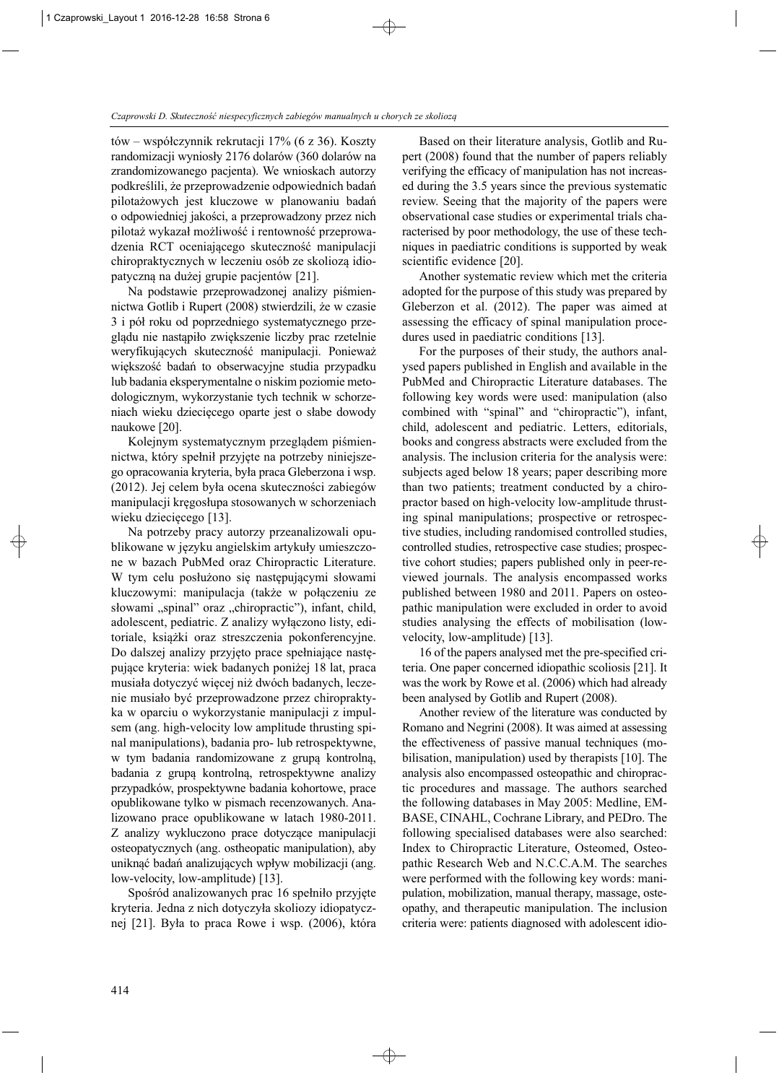tów – współczynnik rekrutacji 17% (6 z 36). Koszty randomizacji wyniosły 2176 dolarów (360 dolarów na zrandomizowanego pacjenta). We wnioskach autorzy podkreślili, że przeprowadzenie odpowiednich badań pilotażowych jest kluczowe w planowaniu badań o odpowiedniej jakości, a przeprowadzony przez nich pilotaż wykazał możliwość i rentowność przeprowadzenia RCT oceniającego skuteczność manipulacji chiropraktycznych w leczeniu osób ze skoliozą idiopatyczną na dużej grupie pacjentów [21].

Na podstawie przeprowadzonej analizy piśmiennictwa Gotlib i Rupert (2008) stwierdzili, że w czasie 3 i pół roku od poprzedniego systematycznego przeglądu nie nastąpiło zwiększenie liczby prac rzetelnie weryfikujących skuteczność manipulacji. Ponieważ większość badań to obserwacyjne studia przypadku lub badania eksperymentalne o niskim poziomie metodologicznym, wykorzystanie tych technik w schorzeniach wieku dziecięcego oparte jest o słabe dowody naukowe [20].

Kolejnym systematycznym przeglądem piśmiennictwa, który spełnił przyjęte na potrzeby niniejszego opracowania kryteria, była praca Gleberzona i wsp. (2012). Jej celem była ocena skuteczności zabiegów manipulacji kręgosłupa stosowanych w schorzeniach wieku dziecięcego [13].

Na potrzeby pracy autorzy przeanalizowali opublikowane w języku angielskim artykuły umieszczone w bazach PubMed oraz Chiropractic Literature. W tym celu posłużono się następującymi słowami kluczowymi: manipulacja (także w połączeniu ze słowami "spinal" oraz "chiropractic"), infant, child, adolescent, pediatric. Z analizy wyłączono listy, editoriale, książki oraz streszczenia pokonferencyjne. Do dalszej analizy przyjęto prace spełniające następujące kryteria: wiek badanych poniżej 18 lat, praca musiała dotyczyć więcej niż dwóch badanych, leczenie musiało być przeprowadzone przez chiropraktyka w oparciu o wykorzystanie manipulacji z impulsem (ang. high-velocity low amplitude thrusting spinal manipulations), badania pro- lub retrospektywne, w tym badania randomizowane z grupą kontrolną, badania z grupą kontrolną, retrospektywne analizy przypadków, prospektywne badania kohortowe, prace opublikowane tylko w pismach recenzowanych. Ana lizowano prace opublikowane w latach 1980-2011. Z analizy wykluczono prace dotyczące manipulacji oste opatycznych (ang. ostheopatic manipulation), aby uniknąć badań analizujących wpływ mobilizacji (ang. low-velocity, low-amplitude) [13].

Spośród analizowanych prac 16 spełniło przyjęte kryteria. Jedna z nich dotyczyła skoliozy idiopatycznej [21]. Była to praca Rowe i wsp. (2006), która

Based on their literature analysis, Gotlib and Rupert (2008) found that the number of papers reliably verifying the efficacy of manipulation has not increased during the 3.5 years since the previous systematic review. Seeing that the majority of the papers were observational case studies or experimental trials cha racterised by poor methodology, the use of these techniques in paediatric conditions is supported by weak scientific evidence [20].

Another systematic review which met the criteria adopted for the purpose of this study was prepared by Gleberzon et al. (2012). The paper was aimed at assessing the efficacy of spinal manipulation procedures used in paediatric conditions [13].

For the purposes of their study, the authors analysed papers published in English and available in the PubMed and Chiropractic Literature databases. The following key words were used: manipulation (also combined with "spinal" and "chiropractic"), infant, child, adolescent and pediatric. Letters, editorials, books and congress abstracts were excluded from the analysis. The inclusion criteria for the analysis were: subjects aged below 18 years; paper describing more than two patients; treatment conducted by a chiropractor based on high-velocity low-amplitude thrusting spinal manipulations; prospective or retrospective studies, including randomised controlled studies, controlled studies, retrospective case studies; prospective cohort studies; papers published only in peer-reviewed journals. The analysis encompassed works published between 1980 and 2011. Papers on osteopathic manipulation were excluded in order to avoid studies analysing the effects of mobilisation (lowvelocity, low-amplitude) [13].

16 of the papers analysed met the pre-specified criteria. One paper concerned idiopathic scoliosis [21]. It was the work by Rowe et al. (2006) which had already been analysed by Gotlib and Rupert (2008).

Another review of the literature was conducted by Romano and Negrini (2008). It was aimed at assessing the effectiveness of passive manual techniques (mobilisation, manipulation) used by therapists [10]. The analysis also encompassed osteopathic and chiroprac tic procedures and massage. The authors searched the following databases in May 2005: Medline, EM - BASE, CINAHL, Cochrane Library, and PEDro. The following specialised databases were also searched: Index to Chiropractic Literature, Osteomed, Osteopathic Research Web and N.C.C.A.M. The searches were performed with the following key words: manipulation, mobilization, manual therapy, massage, osteopathy, and therapeutic manipulation. The inclusion criteria were: patients diagnosed with adolescent idio -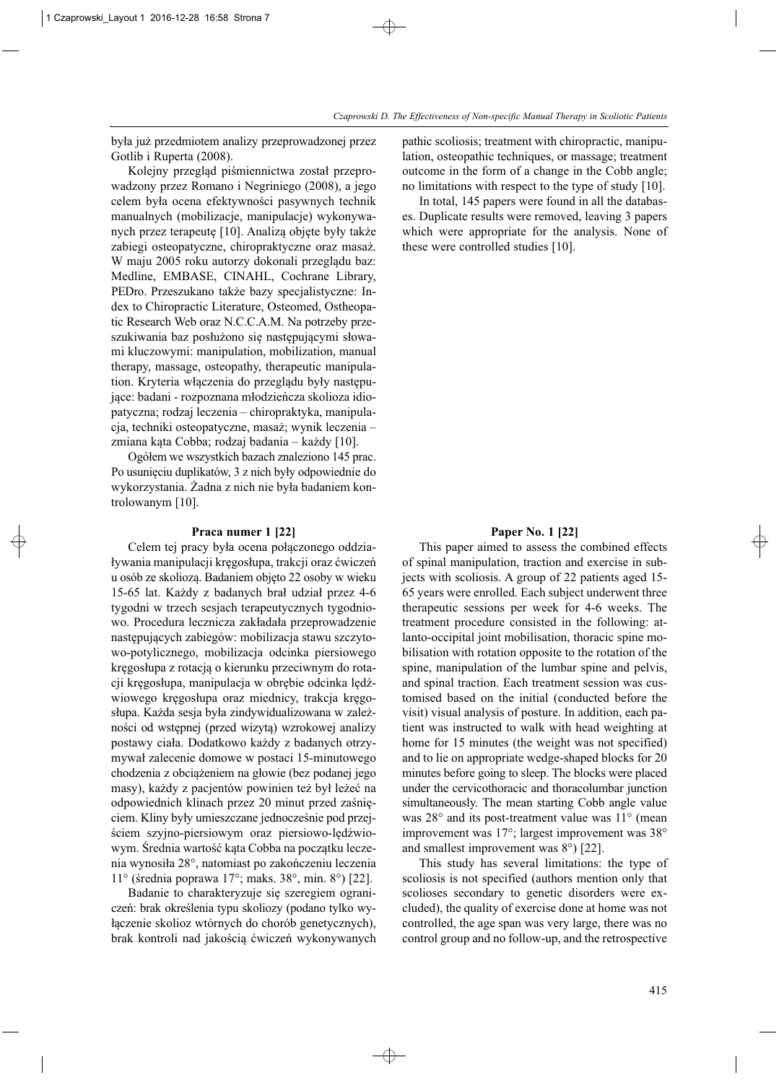była już przedmiotem analizy przeprowadzonej przez Gotlib i Ruperta (2008).

Kolejny przegląd piśmiennictwa został przeprowadzony przez Romano i Negriniego (2008), a jego celem była ocena efektywności pasywnych technik manualnych (mobilizacje, manipulacje) wykonywanych przez terapeutę [10]. Analizą objęte były także zabiegi osteopatyczne, chiropraktyczne oraz masaż. W maju 2005 roku autorzy dokonali przeglądu baz: Medline, EMBASE, CINAHL, Cochrane Library, PED ro. Przeszukano także bazy specjalistyczne: Index to Chiropractic Literature, Osteomed, Ostheopatic Research Web oraz N.C.C.A.M. Na potrzeby przeszukiwania baz posłużono się następującymi słowami kluczowymi: manipulation, mobilization, manual therapy, massage, osteopathy, therapeutic manipulation. Kryteria włączenia do przeglądu były następujące: badani - rozpoznana młodzieńcza skolioza idiopatyczna; rodzaj leczenia – chiropraktyka, manipulacja, techniki osteopatyczne, masaż; wynik leczenia – zmiana kąta Cobba; rodzaj badania – każdy [10].

Ogółem we wszystkich bazach znaleziono 145 prac. Po usunięciu duplikatów, 3 z nich były odpowiednie do wykorzystania. Żadna z nich nie była badaniem kontrolowanym [10].

#### **Praca numer 1 [22]**

Celem tej pracy była ocena połączonego oddziaływania manipulacji kręgosłupa, trakcji oraz ćwiczeń u osób ze skoliozą. Badaniem objęto 22 osoby w wieku 15-65 lat. Każdy z badanych brał udział przez 4-6 tygodni w trzech sesjach terapeutycznych tygodniowo. Procedura lecznicza zakładała przeprowadzenie następujących zabiegów: mobilizacja stawu szczytowo-potylicznego, mobilizacja odcinka piersiowego kręgosłupa z rotacją o kierunku przeciwnym do rotacji kręgosłupa, manipulacja w obrębie odcinka lędźwiowego kręgosłupa oraz miednicy, trakcja kręgosłupa. Każda sesja była zindywidualizowana w zależności od wstępnej (przed wizytą) wzrokowej analizy postawy ciała. Dodatkowo każdy z badanych otrzymywał zalecenie domowe w postaci 15-minutowego chodzenia z obciążeniem na głowie (bez podanej jego masy), każdy z pacjentów powinien też był leżeć na odpowiednich klinach przez 20 minut przed zaśnięciem. Kliny były umieszczane jednocześnie pod przej ściem szyjno-piersiowym oraz piersiowo-lędźwiowym. Średnia wartość kąta Cobba na początku leczenia wynosiła 28°, natomiast po zakończeniu leczenia 11° (średnia poprawa 17°; maks. 38°, min. 8°) [22].

Badanie to charakteryzuje się szeregiem ograniczeń: brak określenia typu skoliozy (podano tylko wyłączenie skolioz wtórnych do chorób genetycznych), brak kontroli nad jakością ćwiczeń wykonywanych pathic scoliosis; treatment with chiropractic, manipulation, osteopathic techniques, or massage; treatment outcome in the form of a change in the Cobb angle; no limitations with respect to the type of study [10].

In total, 145 papers were found in all the databases. Duplicate results were removed, leaving 3 papers which were appropriate for the analysis. None of these were controlled studies [10].

#### **Paper No. 1 [22]**

This paper aimed to assess the combined effects of spinal manipulation, traction and exercise in subjects with scoliosis. A group of 22 patients aged 15- 65 years were enrolled. Each subject underwent three therapeutic sessions per week for 4-6 weeks. The treatment procedure consisted in the following: at lanto-occipital joint mobilisation, thoracic spine mobilisation with rotation opposite to the rotation of the spine, manipulation of the lumbar spine and pelvis, and spinal traction. Each treatment session was customised based on the initial (conducted before the visit) visual analysis of posture. In addition, each patient was instructed to walk with head weighting at home for 15 minutes (the weight was not specified) and to lie on appropriate wedge-shaped blocks for 20 minutes before going to sleep. The blocks were placed under the cervicothoracic and thoracolumbar junction simultaneously. The mean starting Cobb angle value was 28° and its post-treatment value was 11° (mean improvement was 17°; largest improvement was 38° and smallest improvement was 8°) [22].

This study has several limitations: the type of scoliosis is not specified (authors mention only that scolioses secondary to genetic disorders were excluded), the quality of exercise done at home was not controlled, the age span was very large, there was no control group and no follow-up, and the retrospective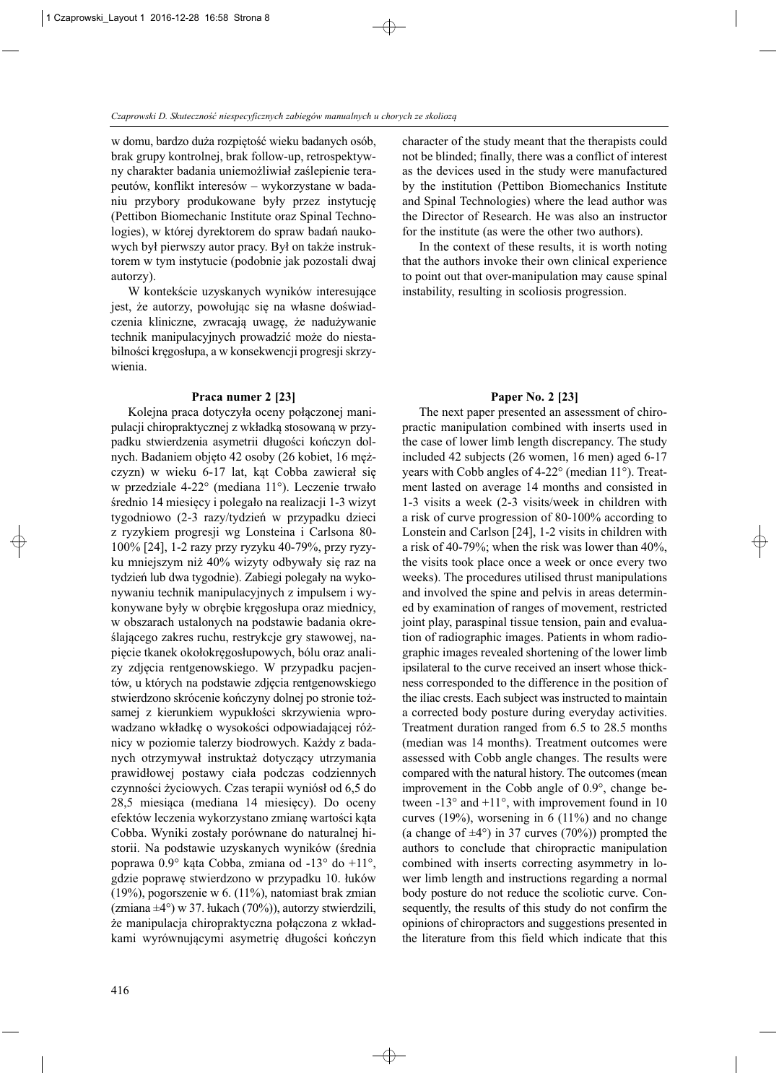w domu, bardzo duża rozpiętość wieku badanych osób, brak grupy kontrolnej, brak follow-up, retrospektywny charakter badania uniemożliwiał zaślepienie terapeutów, konflikt interesów – wykorzystane w badaniu przybory produkowane były przez instytucję (Pettibon Biomechanic Institute oraz Spinal Techno logies), w której dyrektorem do spraw badań naukowych był pierwszy autor pracy. Był on także instruktorem w tym instytucie (podobnie jak pozostali dwaj autorzy).

W kontekście uzyskanych wyników interesujące jest, że autorzy, powołując się na własne doświadczenia kliniczne, zwracają uwagę, że nadużywanie technik manipulacyjnych prowadzić może do niestabilności kręgosłupa, a w konsekwencji progresji skrzywienia.

#### **Praca numer 2 [23]**

Kolejna praca dotyczyła oceny połączonej manipulacji chiropraktycznej z wkładką stosowaną w przypadku stwierdzenia asymetrii długości kończyn dolnych. Badaniem objęto 42 osoby (26 kobiet, 16 mężczyzn) w wieku 6-17 lat, kąt Cobba zawierał się w przedziale 4-22° (mediana 11°). Leczenie trwało średnio 14 miesięcy i polegało na realizacji 1-3 wizyt tygodniowo (2-3 razy/tydzień w przypadku dzieci z ryzykiem progresji wg Lonsteina i Carlsona 80- 100% [24], 1-2 razy przy ryzyku 40-79%, przy ryzyku mniejszym niż 40% wizyty odbywały się raz na tydzień lub dwa tygodnie). Zabiegi polegały na wykonywaniu technik manipulacyjnych z impulsem i wy konywane były w obrębie kręgosłupa oraz miednicy, w obszarach ustalonych na podstawie badania określającego zakres ruchu, restrykcje gry stawowej, napięcie tkanek okołokręgosłupowych, bólu oraz analizy zdjęcia rentgenowskiego. W przypadku pacjentów, u których na podstawie zdjęcia rentgenowskiego stwierdzono skrócenie kończyny dolnej po stronie tożsamej z kierunkiem wypukłości skrzywienia wprowadzano wkładkę o wysokości odpowiadającej różnicy w poziomie talerzy biodrowych. Każdy z badanych otrzymywał instruktaż dotyczący utrzymania prawidłowej postawy ciała podczas codziennych czynności życiowych. Czas terapii wyniósł od 6,5 do 28,5 miesiąca (mediana 14 miesięcy). Do oceny efektów leczenia wykorzystano zmianę wartości kąta Cobba. Wyniki zostały porównane do naturalnej historii. Na podstawie uzyskanych wyników (średnia poprawa 0.9° kąta Cobba, zmiana od -13° do +11°, gdzie poprawę stwierdzono w przypadku 10. łuków (19%), pogorszenie w 6. (11%), natomiast brak zmian (zmiana ±4°) w 37. łukach (70%)), autorzy stwierdzili, że manipulacja chiropraktyczna połączona z wkładkami wyrównującymi asymetrię długości kończyn

character of the study meant that the therapists could not be blinded; finally, there was a conflict of interest as the devices used in the study were manufactured by the institution (Pettibon Biomechanics Institute and Spinal Technologies) where the lead author was the Director of Research. He was also an instructor for the institute (as were the other two authors).

In the context of these results, it is worth noting that the authors invoke their own clinical experience to point out that over-manipulation may cause spinal instability, resulting in scoliosis progression.

# **Paper No. 2 [23]**

The next paper presented an assessment of chiropractic manipulation combined with inserts used in the case of lower limb length discrepancy. The study included 42 subjects (26 women, 16 men) aged 6-17 years with Cobb angles of 4-22° (median 11°). Treat ment lasted on average 14 months and consisted in 1-3 visits a week (2-3 visits/week in children with a risk of curve progression of 80-100% according to Lonstein and Carlson [24], 1-2 visits in children with a risk of 40-79%; when the risk was lower than 40%, the visits took place once a week or once every two weeks). The procedures utilised thrust manipulations and involved the spine and pelvis in areas determined by examination of ranges of movement, restricted joint play, paraspinal tissue tension, pain and evaluation of radiographic images. Patients in whom radiographic images revealed shortening of the lower limb ipsilateral to the curve received an insert whose thick ness corresponded to the difference in the position of the iliac crests. Each subject was instructed to maintain a corrected body posture during everyday activities. Treatment duration ranged from 6.5 to 28.5 months (median was 14 months). Treatment outcomes were assessed with Cobb angle changes. The results were compared with the natural history. The outcomes (mean improvement in the Cobb angle of  $0.9^\circ$ , change between  $-13^{\circ}$  and  $+11^{\circ}$ , with improvement found in 10 curves (19%), worsening in 6 (11%) and no change (a change of  $\pm 4^{\circ}$ ) in 37 curves (70%)) prompted the authors to conclude that chiropractic manipulation combined with inserts correcting asymmetry in lower limb length and instructions regarding a normal body posture do not reduce the scoliotic curve. Consequently, the results of this study do not confirm the opinions of chiropractors and suggestions presented in the literature from this field which indicate that this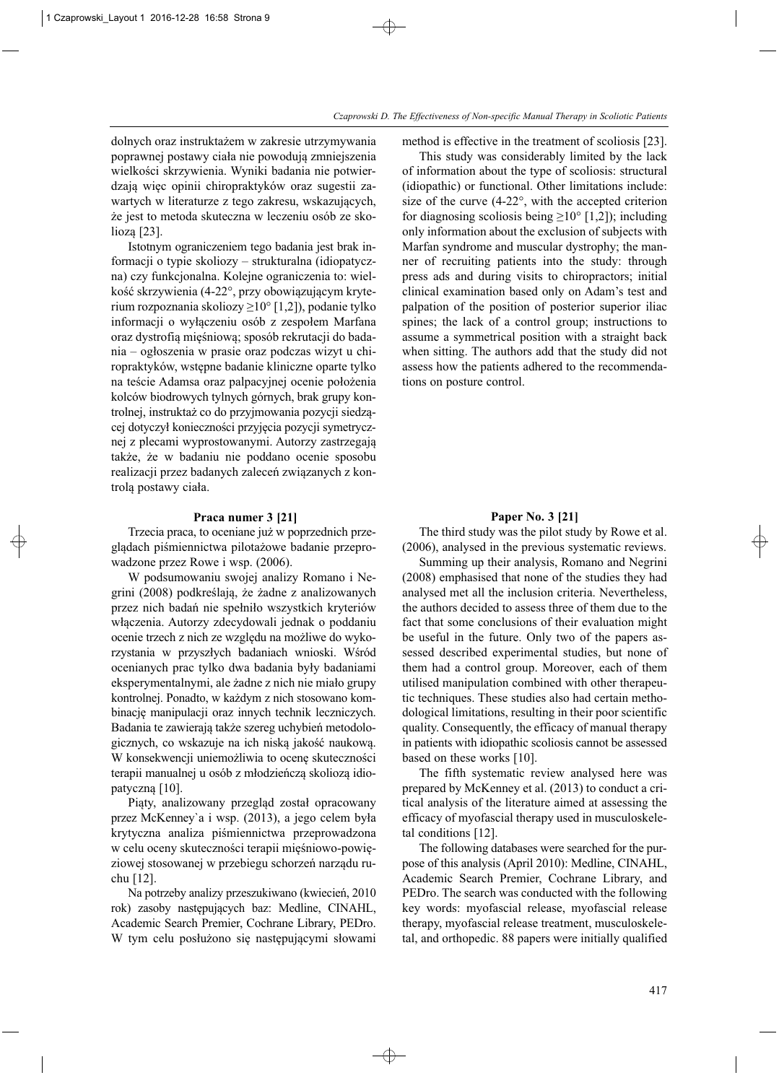dolnych oraz instruktażem w zakresie utrzymywania poprawnej postawy ciała nie powodują zmniejszenia wielkości skrzywienia. Wyniki badania nie potwierdzają więc opinii chiropraktyków oraz sugestii zawartych w literaturze z tego zakresu, wskazujących, że jest to metoda skuteczna w leczeniu osób ze skoliozą [23].

Istotnym ograniczeniem tego badania jest brak in formacji o typie skoliozy – strukturalna (idiopatycz na) czy funkcjonalna. Kolejne ograniczenia to: wielkość skrzywienia (4-22°, przy obowiązującym kryterium rozpoznania skoliozy ≥10° [1,2]), podanie tylko informacji o wyłączeniu osób z zespołem Marfana oraz dystrofią mięśniową; sposób rekrutacji do badania – ogłoszenia w prasie oraz podczas wizyt u chiropraktyków, wstępne badanie kliniczne oparte tylko na teście Adamsa oraz palpacyjnej ocenie położenia kolców biodrowych tylnych górnych, brak grupy kontrolnej, instruktaż co do przyjmowania pozycji siedzącej dotyczył konieczności przyjęcia pozycji symetrycznej z plecami wyprostowanymi. Autorzy zastrzegają także, że w badaniu nie poddano ocenie sposobu realizacji przez badanych zaleceń związanych z kontrolą postawy ciała.

#### **Praca numer 3 [21]**

Trzecia praca, to oceniane już w poprzednich prze glądach piśmiennictwa pilotażowe badanie przeprowadzone przez Rowe i wsp. (2006).

W podsumowaniu swojej analizy Romano i Negrini (2008) podkreślają, że żadne z analizowanych przez nich badań nie spełniło wszystkich kryteriów włączenia. Autorzy zdecydowali jednak o poddaniu ocenie trzech z nich ze względu na możliwe do wykorzystania w przyszłych badaniach wnioski. Wśród ocenianych prac tylko dwa badania były badaniami eksperymentalnymi, ale żadne z nich nie miało grupy kontrolnej. Ponadto, w każdym z nich stosowano kom binację manipulacji oraz innych technik leczniczych. Badania te zawierają także szereg uchybień metodologicznych, co wskazuje na ich niską jakość naukową. W konsekwencji uniemożliwia to ocenę skuteczności terapii manualnej u osób z młodzieńczą skoliozą idio patyczną [10].

Piąty, analizowany przegląd został opracowany przez McKenney`a i wsp. (2013), a jego celem była krytyczna analiza piśmiennictwa przeprowadzona w celu oceny skuteczności terapii mięśniowo-powięziowej stosowanej w przebiegu schorzeń narządu ruchu [12].

Na potrzeby analizy przeszukiwano (kwiecień, 2010 rok) zasoby następujących baz: Medline, CINAHL, Aca demic Search Premier, Cochrane Library, PEDro. W tym celu posłużono się następującymi słowami method is effective in the treatment of scoliosis [23].

This study was considerably limited by the lack of information about the type of scoliosis: structural (idiopathic) or functional. Other limitations include: size of the curve (4-22°, with the accepted criterion for diagnosing scoliosis being  $\geq 10^{\circ}$  [1,2]); including only information about the exclusion of subjects with Marfan syndrome and muscular dystrophy; the manner of recruiting patients into the study: through press ads and during visits to chiropractors; initial clinical examination based only on Adam's test and palpation of the position of posterior superior iliac spines; the lack of a control group; instructions to assume a symmetrical position with a straight back when sitting. The authors add that the study did not assess how the patients adhered to the recommendations on posture control.

#### **Paper No. 3 [21]**

The third study was the pilot study by Rowe et al. (2006), analysed in the previous systematic reviews.

Summing up their analysis, Romano and Negrini (2008) emphasised that none of the studies they had analysed met all the inclusion criteria. Nevertheless, the authors decided to assess three of them due to the fact that some conclusions of their evaluation might be useful in the future. Only two of the papers assessed described experimental studies, but none of them had a control group. Moreover, each of them utilised manipulation combined with other therapeutic techniques. These studies also had certain metho dological limitations, resulting in their poor scientific quality. Consequently, the efficacy of manual therapy in patients with idiopathic scoliosis cannot be assessed based on these works [10].

The fifth systematic review analysed here was prepared by McKenney et al. (2013) to conduct a critical analysis of the literature aimed at assessing the efficacy of myofascial therapy used in musculoskeletal conditions [12].

The following databases were searched for the purpose of this analysis (April 2010): Medline, CINAHL, Academic Search Premier, Cochrane Library, and PEDro. The search was conducted with the following key words: myofascial release, myofascial release therapy, myofascial release treatment, musculoskeletal, and orthopedic. 88 papers were initially qualified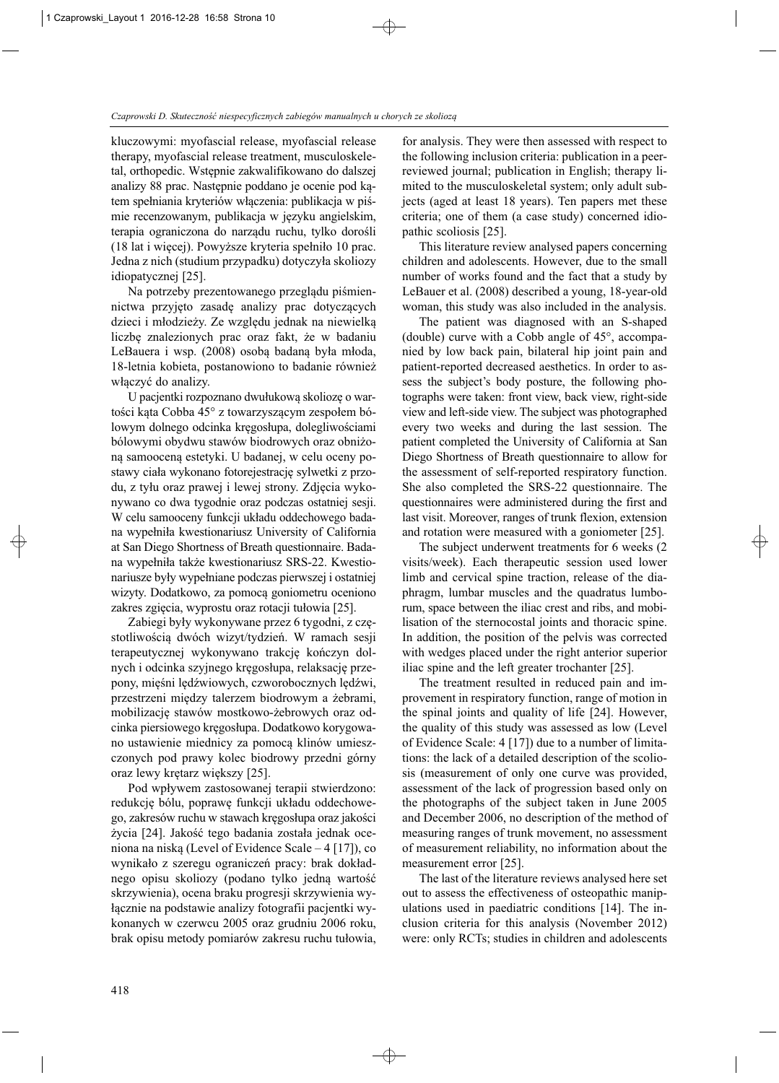kluczowymi: myofascial release, myofascial release therapy, myofascial release treatment, musculoskeletal, orthopedic. Wstępnie zakwalifikowano do dalszej analizy 88 prac. Następnie poddano je ocenie pod kątem spełniania kryteriów włączenia: publikacja w piśmie recenzowanym, publikacja w języku angielskim, terapia ograniczona do narządu ruchu, tylko dorośli (18 lat i więcej). Powyższe kryteria spełniło 10 prac. Jedna z nich (studium przypadku) dotyczyła skoliozy idiopatycznej [25].

Na potrzeby prezentowanego przeglądu piśmiennictwa przyjęto zasadę analizy prac dotyczących dzieci i młodzieży. Ze względu jednak na niewielką liczbę znalezionych prac oraz fakt, że w badaniu LeBauera i wsp. (2008) osobą badaną była młoda, 18-letnia kobieta, postanowiono to badanie również włączyć do analizy.

U pacjentki rozpoznano dwułukową skoliozę o wartości kąta Cobba 45° z towarzyszącym zespołem bó lowym dolnego odcinka kręgosłupa, dolegliwościami bólowymi obydwu stawów biodrowych oraz obniżoną samooceną estetyki. U badanej, w celu oceny postawy ciała wykonano fotorejestrację sylwetki z przodu, z tyłu oraz prawej i lewej strony. Zdjęcia wykonywano co dwa tygodnie oraz podczas ostatniej sesji. W celu samooceny funkcji układu oddechowego badana wy pełniła kwestionariusz University of California at San Diego Shortness of Breath questionnaire. Badana wypełniła także kwestionariusz SRS-22. Kwestio nariusze były wypełniane podczas pierwszej i ostatniej wizyty. Dodatkowo, za pomocą goniometru oceniono zakres zgięcia, wyprostu oraz rotacji tułowia [25].

Zabiegi były wykonywane przez 6 tygodni, z częstotliwością dwóch wizyt/tydzień. W ramach sesji terapeutycznej wykonywano trakcję kończyn dolnych i odcinka szyjnego kręgosłupa, relaksację przepony, mięśni lędźwiowych, czworobocznych lędźwi, przestrzeni między talerzem biodrowym a żebrami, mobilizację stawów mostkowo-żebrowych oraz odcinka piersiowego kręgosłupa. Dodatkowo korygowano ustawienie miednicy za pomocą klinów umieszczonych pod prawy kolec biodrowy przedni górny oraz lewy krętarz większy [25].

Pod wpływem zastosowanej terapii stwierdzono: redukcję bólu, poprawę funkcji układu oddechowego, zakresów ruchu w stawach kręgosłupa oraz jakości życia [24]. Jakość tego badania została jednak oceniona na niską (Level of Evidence Scale – 4 [17]), co wynikało z szeregu ograniczeń pracy: brak dokładnego opisu skoliozy (podano tylko jedną wartość skrzywienia), ocena braku progresji skrzywienia wy łącznie na podstawie analizy fotografii pacjentki wykonanych w czerwcu 2005 oraz grudniu 2006 roku, brak opisu metody pomiarów zakresu ruchu tułowia,

for analysis. They were then assessed with respect to the following inclusion criteria: publication in a peerreviewed journal; publication in English; therapy limited to the musculoskeletal system; only adult subjects (aged at least 18 years). Ten papers met these criteria; one of them (a case study) concerned idiopathic scoliosis [25].

This literature review analysed papers concerning children and adolescents. However, due to the small number of works found and the fact that a study by LeBauer et al. (2008) described a young, 18-year-old woman, this study was also included in the analysis.

The patient was diagnosed with an S-shaped (double) curve with a Cobb angle of 45°, accompanied by low back pain, bilateral hip joint pain and patient-reported decreased aesthetics. In order to assess the subject's body posture, the following photographs were taken: front view, back view, right-side view and left-side view. The subject was photographed every two weeks and during the last session. The patient completed the University of California at San Diego Shortness of Breath questionnaire to allow for the assessment of self-reported respiratory function. She also completed the SRS-22 questionnaire. The questionnaires were administered during the first and last visit. Moreover, ranges of trunk flexion, extension and rotation were measured with a goniometer [25].

The subject underwent treatments for 6 weeks (2 visits/week). Each therapeutic session used lower limb and cervical spine traction, release of the diaphragm, lumbar muscles and the quadratus lumborum, space between the iliac crest and ribs, and mobi lisation of the sternocostal joints and thoracic spine. In addition, the position of the pelvis was corrected with wedges placed under the right anterior superior iliac spine and the left greater trochanter [25].

The treatment resulted in reduced pain and improvement in respiratory function, range of motion in the spinal joints and quality of life [24]. However, the quality of this study was assessed as low (Level of Evidence Scale: 4 [17]) due to a number of limitations: the lack of a detailed description of the scoliosis (measurement of only one curve was provided, assessment of the lack of progression based only on the photographs of the subject taken in June 2005 and December 2006, no description of the method of measuring ranges of trunk movement, no assessment of measurement reliability, no information about the measurement error [25].

The last of the literature reviews analysed here set out to assess the effectiveness of osteopathic manipulations used in paediatric conditions [14]. The inclusion criteria for this analysis (November 2012) were: only RCTs; studies in children and adolescents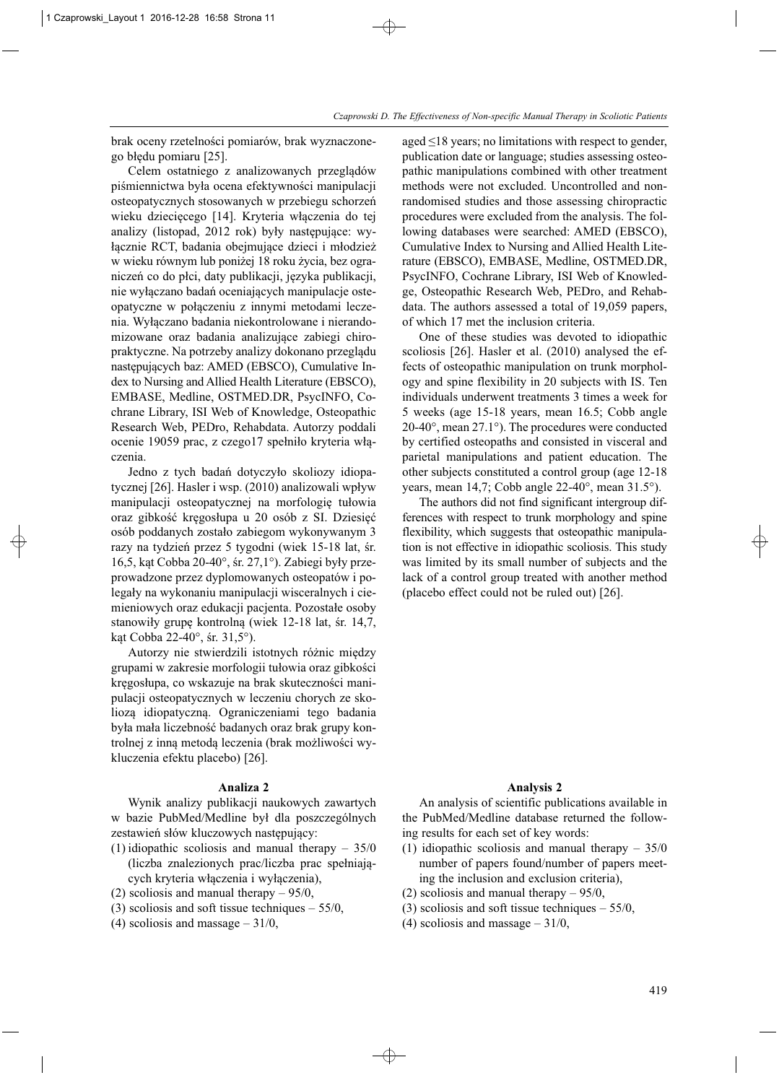brak oceny rzetelności pomiarów, brak wyznaczonego błędu pomiaru [25].

Celem ostatniego z analizowanych przeglądów piśmiennictwa była ocena efektywności manipulacji osteopatycznych stosowanych w przebiegu schorzeń wieku dziecięcego [14]. Kryteria włączenia do tej analizy (listopad, 2012 rok) były następujące: wyłącznie RCT, badania obejmujące dzieci i młodzież w wieku równym lub poniżej 18 roku życia, bez ograniczeń co do płci, daty publikacji, języka publikacji, nie wyłączano badań oceniających manipulacje osteopatyczne w połączeniu z innymi metodami leczenia. Wyłączano badania niekontrolowane i nierandomizowane oraz badania analizujące zabiegi chiropraktyczne. Na potrzeby analizy dokonano przeglądu następujących baz: AMED (EBSCO), Cumulative Index to Nursing and Allied Health Literature (EBSCO), EMBASE, Medline, OSTMED.DR, PsycINFO, Cochrane Library, ISI Web of Knowledge, Osteopathic Research Web, PEDro, Rehabdata. Autorzy poddali ocenie 19059 prac, z czego17 spełniło kryteria włączenia.

Jedno z tych badań dotyczyło skoliozy idiopatycznej [26]. Hasler i wsp. (2010) analizowali wpływ manipulacji osteopatycznej na morfologię tułowia oraz gibkość kręgosłupa u 20 osób z SI. Dziesięć osób poddanych zostało zabiegom wykonywanym 3 razy na tydzień przez 5 tygodni (wiek 15-18 lat, śr. 16,5, kąt Cobba 20-40°, śr. 27,1°). Zabiegi były przeprowadzone przez dyplomowanych osteopatów i polegały na wykonaniu manipulacji wisceralnych i ciemieniowych oraz edukacji pacjenta. Pozostałe osoby stanowiły grupę kontrolną (wiek 12-18 lat, śr. 14,7, kąt Cobba 22-40°, śr. 31,5°).

Autorzy nie stwierdzili istotnych różnic między grupami w zakresie morfologii tułowia oraz gibkości kręgosłupa, co wskazuje na brak skuteczności manipulacji osteopatycznych w leczeniu chorych ze skoliozą idiopatyczną. Ograniczeniami tego badania była mała liczebność badanych oraz brak grupy kontrolnej z inną metodą leczenia (brak możliwości wy kluczenia efektu placebo) [26].

# **Analiza 2**

Wynik analizy publikacji naukowych zawartych w bazie PubMed/Medline był dla poszczególnych zestawień słów kluczowych następujący:

- (1) idiopathic scoliosis and manual therapy  $-35/0$ (liczba znalezionych prac/liczba prac spełniających kryteria włączenia i wyłączenia),
- (2) scoliosis and manual therapy 95/0,
- (3) scoliosis and soft tissue techniques  $-55/0$ ,
- (4) scoliosis and massage  $-31/0$ ,

aged  $\leq$ 18 years; no limitations with respect to gender, publication date or language; studies assessing osteopathic manipulations combined with other treatment methods were not excluded. Uncontrolled and nonrandomised studies and those assessing chiropractic procedures were excluded from the analysis. The following databases were searched: AMED (EBSCO), Cumulative Index to Nursing and Allied Health Lite rature (EBSCO), EMBASE, Medline, OSTMED.DR, PsycINFO, Cochrane Library, ISI Web of Knowledge, Osteopathic Research Web, PEDro, and Rehabdata. The authors assessed a total of 19,059 papers, of which 17 met the inclusion criteria.

One of these studies was devoted to idiopathic scoliosis [26]. Hasler et al. (2010) analysed the effects of osteopathic manipulation on trunk morphology and spine flexibility in 20 subjects with IS. Ten individuals underwent treatments 3 times a week for 5 weeks (age 15-18 years, mean 16.5; Cobb angle 20-40°, mean 27.1°). The procedures were conducted by certified osteopaths and consisted in visceral and pa rietal manipulations and patient education. The other subjects constituted a control group (age 12-18 years, mean 14,7; Cobb angle 22-40°, mean 31.5°).

The authors did not find significant intergroup differences with respect to trunk morphology and spine flexibility, which suggests that osteopathic manipulation is not effective in idiopathic scoliosis. This study was limited by its small number of subjects and the lack of a control group treated with another method (placebo effect could not be ruled out) [26].

#### **Analysis 2**

An analysis of scientific publications available in the PubMed/Medline database returned the following results for each set of key words:

- (1) idiopathic scoliosis and manual therapy  $-35/0$ number of papers found/number of papers meeting the inclusion and exclusion criteria),
- (2) scoliosis and manual therapy 95/0,
- (3) scoliosis and soft tissue techniques  $-55/0$ ,
- (4) scoliosis and massage  $-31/0$ ,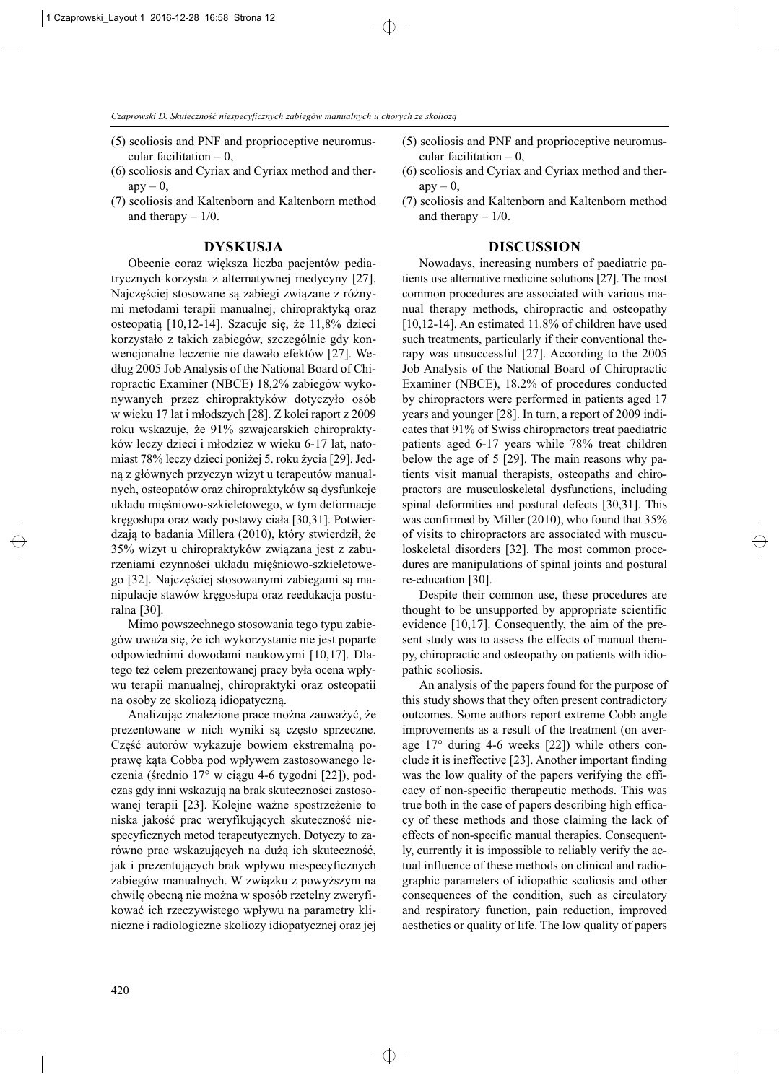- (5) scoliosis and PNF and proprioceptive neuromuscular facilitation  $-0$ .
- (6) scoliosis and Cyriax and Cyriax method and ther $apy - 0$ ,
- (7) scoliosis and Kaltenborn and Kaltenborn method and therapy  $-1/0$ .

#### **DYSKUSJA**

Obecnie coraz większa liczba pacjentów pediatrycznych korzysta z alternatywnej medycyny [27]. Najczęściej stosowane są zabiegi związane z różnymi metodami terapii manualnej, chiropraktyką oraz osteopatią [10,12-14]. Szacuje się, że 11,8% dzieci korzystało z takich zabiegów, szczególnie gdy konwencjonalne leczenie nie dawało efektów [27]. Według 2005 Job Analysis of the National Board of Chi ropractic Examiner (NBCE) 18,2% zabiegów wykonywanych przez chiropraktyków dotyczyło osób w wieku 17 lat i młodszych [28]. Z kolei raport z 2009 roku wskazuje, że 91% szwajcarskich chiropraktyków leczy dzieci i młodzież w wieku 6-17 lat, natomiast 78% leczy dzieci poniżej 5. roku życia [29]. Jed ną z głównych przyczyn wizyt u terapeutów manualnych, osteopatów oraz chiropraktyków są dysfunkcje układu mięśniowo-szkieletowego, w tym deformacje kręgosłupa oraz wady postawy ciała [30,31]. Potwierdzają to badania Millera (2010), który stwierdził, że 35% wizyt u chiropraktyków związana jest z zaburzeniami czynności układu mięśniowo-szkieletowego [32]. Najczęściej stosowanymi zabiegami są ma nipulacje stawów kręgosłupa oraz reedukacja posturalna [30].

Mimo powszechnego stosowania tego typu zabiegów uważa się, że ich wykorzystanie nie jest poparte odpowiednimi dowodami naukowymi [10,17]. Dlatego też celem prezentowanej pracy była ocena wpływu terapii manualnej, chiropraktyki oraz osteopatii na osoby ze skoliozą idiopatyczną.

Analizując znalezione prace można zauważyć, że prezentowane w nich wyniki są często sprzeczne. Część autorów wykazuje bowiem ekstremalną poprawę kąta Cobba pod wpływem zastosowanego leczenia (średnio 17° w ciągu 4-6 tygodni [22]), podczas gdy inni wskazują na brak skuteczności zastosowanej terapii [23]. Kolejne ważne spostrzeżenie to niska jakość prac weryfikujących skuteczność niespecyficznych metod terapeutycznych. Dotyczy to zarówno prac wskazujących na dużą ich skuteczność, jak i prezentujących brak wpływu niespecyficznych zabiegów manualnych. W związku z powyższym na chwilę obecną nie można w sposób rzetelny zweryfikować ich rzeczywistego wpływu na parametry kliniczne i radiologiczne skoliozy idiopatycznej oraz jej

- (5) scoliosis and PNF and proprioceptive neuromuscular facilitation  $-0$ ,
- (6) scoliosis and Cyriax and Cyriax method and ther $apy - 0$ ,
- (7) scoliosis and Kaltenborn and Kaltenborn method and therapy  $-1/0$ .

#### **DISCUSSION**

Nowadays, increasing numbers of paediatric patients use alternative medicine solutions [27]. The most common procedures are associated with various manual therapy methods, chiropractic and osteopathy [10,12-14]. An estimated 11.8% of children have used such treatments, particularly if their conventional therapy was unsuccessful [27]. According to the 2005 Job Analysis of the National Board of Chiropractic Examiner (NBCE), 18.2% of procedures conducted by chiropractors were performed in patients aged 17 years and younger [28]. In turn, a report of 2009 indicates that 91% of Swiss chiropractors treat paediatric patients aged 6-17 years while 78% treat children below the age of  $5$  [29]. The main reasons why patients visit manual therapists, osteopaths and chiropractors are musculoskeletal dysfunctions, including spinal deformities and postural defects [30,31]. This was confirmed by Miller (2010), who found that 35% of visits to chiropractors are associated with musculoskeletal disorders [32]. The most common procedures are manipulations of spinal joints and postural re-education [30].

Despite their common use, these procedures are thought to be unsupported by appropriate scientific evidence [10,17]. Consequently, the aim of the present study was to assess the effects of manual therapy, chiropractic and osteopathy on patients with idiopathic scoliosis.

An analysis of the papers found for the purpose of this study shows that they often present contradictory outcomes. Some authors report extreme Cobb angle improvements as a result of the treatment (on average 17° during 4-6 weeks [22]) while others conclude it is ineffective [23]. Another important finding was the low quality of the papers verifying the efficacy of non-specific therapeutic methods. This was true both in the case of papers describing high efficacy of these methods and those claiming the lack of effects of non-specific manual therapies. Consequently, currently it is impossible to reliably verify the actual influence of these methods on clinical and radiographic parameters of idiopathic scoliosis and other consequences of the condition, such as circulatory and respiratory function, pain reduction, improved aesthetics or quality of life. The low quality of papers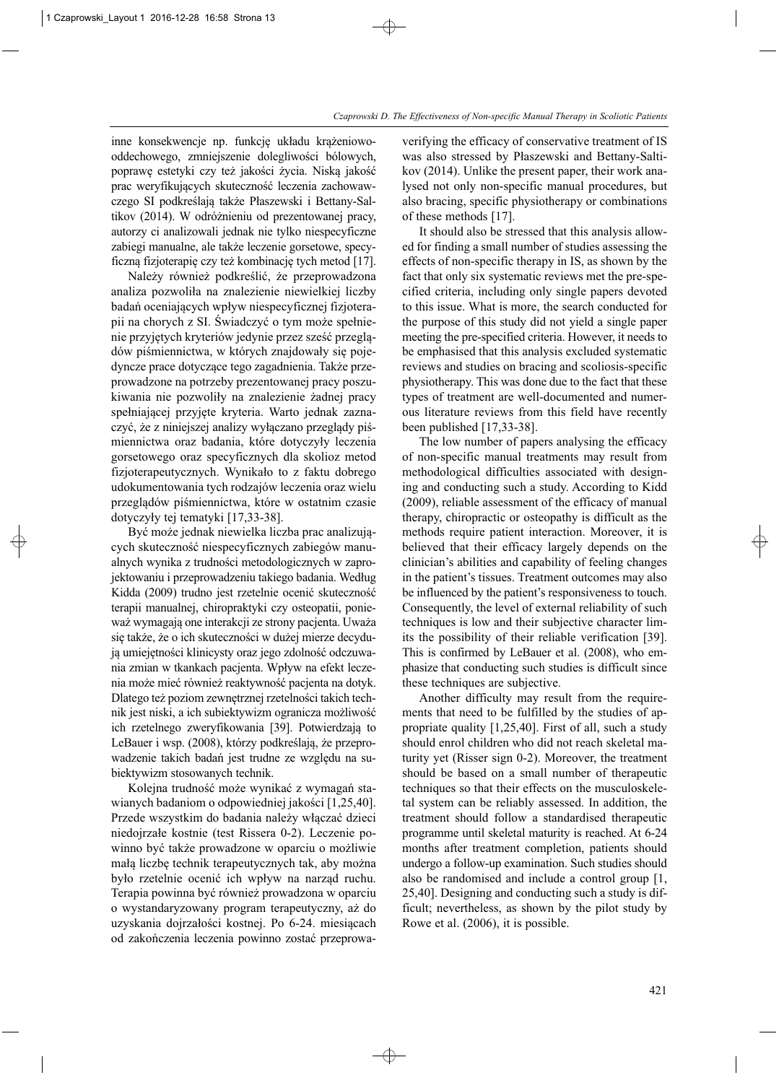inne konsekwencje np. funkcję układu krążeniowooddechowego, zmniejszenie dolegliwości bólowych, poprawę estetyki czy też jakości życia. Niską jakość prac weryfikujących skuteczność leczenia zachowawczego SI podkreślają także Płaszewski i Bettany-Sal tikov (2014). W odróżnieniu od prezentowanej pracy, autorzy ci analizowali jednak nie tylko niespecyficzne zabiegi manualne, ale także leczenie gorsetowe, specyficzną fizjoterapię czy też kombinację tych metod [17].

Należy również podkreślić, że przeprowadzona analiza pozwoliła na znalezienie niewielkiej liczby badań oceniających wpływ niespecyficznej fizjoterapii na chorych z SI. Świadczyć o tym może spełnienie przyjętych kryteriów jedynie przez sześć przeglądów piśmiennictwa, w których znajdowały się pojedyncze prace dotyczące tego zagadnienia. Także prze prowadzone na potrzeby prezentowanej pracy poszukiwania nie pozwoliły na znalezienie żadnej pracy spełniającej przyjęte kryteria. Warto jednak zaznaczyć, że z niniejszej analizy wyłączano przeglądy piś miennictwa oraz badania, które dotyczyły leczenia gorsetowego oraz specyficznych dla skolioz metod fizjoterapeutycznych. Wynikało to z faktu dobrego udokumentowania tych rodzajów leczenia oraz wielu przeglądów piśmiennictwa, które w ostatnim czasie dotyczyły tej tematyki [17,33-38].

Być może jednak niewielka liczba prac analizujących skuteczność niespecyficznych zabiegów manualnych wynika z trudności metodologicznych w zaprojektowaniu i przeprowadzeniu takiego badania. Według Kidda (2009) trudno jest rzetelnie ocenić skuteczność terapii manualnej, chiropraktyki czy osteopatii, ponieważ wymagają one interakcji ze strony pacjenta. Uważa się także, że o ich skuteczności w dużej mierze decydują umiejętności klinicysty oraz jego zdolność odczuwania zmian w tkankach pacjenta. Wpływ na efekt leczenia może mieć również reaktywność pacjenta na dotyk. Dlatego też poziom zewnętrznej rzetelności takich technik jest niski, a ich subiektywizm ogranicza możliwość ich rzetelnego zweryfikowania [39]. Potwierdzają to LeBauer i wsp. (2008), którzy podkreślają, że przeprowadzenie takich badań jest trudne ze względu na subiektywizm stosowanych technik.

Kolejna trudność może wynikać z wymagań stawianych badaniom o odpowiedniej jakości [1,25,40]. Przede wszystkim do badania należy włączać dzieci niedojrzałe kostnie (test Rissera 0-2). Leczenie po winno być także prowadzone w oparciu o możliwie małą liczbę technik terapeutycznych tak, aby można było rzetelnie ocenić ich wpływ na narząd ruchu. Terapia powinna być również prowadzona w oparciu o wystandaryzowany program terapeutyczny, aż do uzyskania dojrzałości kostnej. Po 6-24. miesiącach od zakończenia leczenia powinno zostać przeprowaverifying the efficacy of conservative treatment of IS was also stressed by Płaszewski and Bettany-Saltikov (2014). Unlike the present paper, their work analysed not only non-specific manual procedures, but also bracing, specific physiotherapy or combinations of these methods [17].

It should also be stressed that this analysis allowed for finding a small number of studies assessing the effects of non-specific therapy in IS, as shown by the fact that only six systematic reviews met the pre-spe cified criteria, including only single papers devoted to this issue. What is more, the search conducted for the purpose of this study did not yield a single paper meeting the pre-specified criteria. However, it needs to be emphasised that this analysis excluded systematic reviews and studies on bracing and scoliosis-specific physiotherapy. This was done due to the fact that these types of treatment are well-documented and numerous literature reviews from this field have recently been published [17,33-38].

The low number of papers analysing the efficacy of non-specific manual treatments may result from methodological difficulties associated with designing and conducting such a study. According to Kidd (2009), reliable assessment of the efficacy of manual therapy, chiropractic or osteopathy is difficult as the methods require patient interaction. Moreover, it is believed that their efficacy largely depends on the clinician's abilities and capability of feeling changes in the patient's tissues. Treatment outcomes may also be influenced by the patient's responsiveness to touch. Consequently, the level of external reliability of such techniques is low and their subjective character limits the possibility of their reliable verification [39]. This is confirmed by LeBauer et al. (2008), who emphasize that conducting such studies is difficult since these techniques are subjective.

Another difficulty may result from the requirements that need to be fulfilled by the studies of appropriate quality [1,25,40]. First of all, such a study should enrol children who did not reach skeletal maturity yet (Risser sign 0-2). Moreover, the treatment should be based on a small number of therapeutic techniques so that their effects on the musculoskeletal system can be reliably assessed. In addition, the treatment should follow a standardised therapeutic programme until skeletal maturity is reached. At 6-24 months after treatment completion, patients should undergo a follow-up examination. Such studies should also be randomised and include a control group [1, 25,40]. Designing and conducting such a study is difficult; nevertheless, as shown by the pilot study by Rowe et al. (2006), it is possible.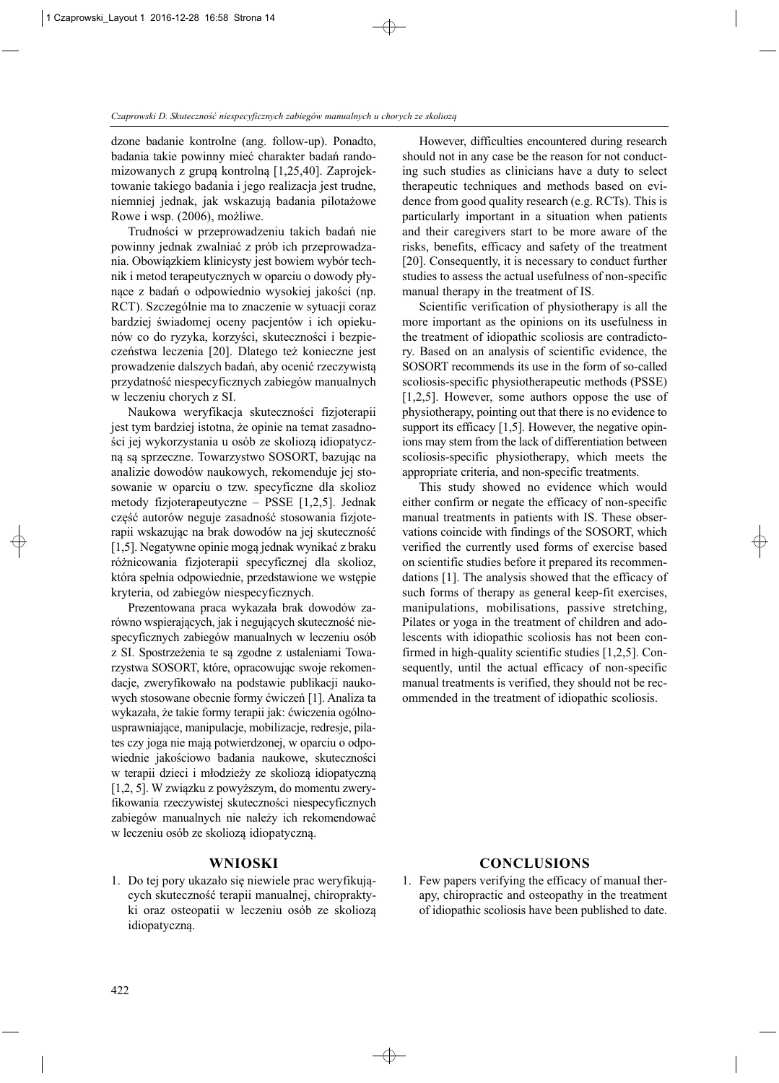dzone badanie kontrolne (ang. follow-up). Ponadto, badania takie powinny mieć charakter badań randomizowanych z grupą kontrolną [1,25,40]. Zaprojekto wanie takiego badania i jego realizacja jest trudne, niemniej jednak, jak wskazują badania pilotażowe Rowe i wsp. (2006), możliwe.

Trudności w przeprowadzeniu takich badań nie powinny jednak zwalniać z prób ich przeprowadzania. Obowiązkiem klinicysty jest bowiem wybór technik i metod terapeutycznych w oparciu o dowody płynące z badań o odpowiednio wysokiej jakości (np. RCT). Szczególnie ma to znaczenie w sytuacji coraz bardziej świadomej oceny pacjentów i ich opiekunów co do ryzyka, korzyści, skuteczności i bezpieczeństwa leczenia [20]. Dlatego też konieczne jest prowadzenie dalszych badań, aby ocenić rzeczywistą przydatność niespecyficznych zabiegów manualnych w leczeniu chorych z SI.

Naukowa weryfikacja skuteczności fizjoterapii jest tym bardziej istotna, że opinie na temat zasadności jej wykorzystania u osób ze skoliozą idiopatyczną są sprzeczne. Towarzystwo SOSORT, bazując na analizie dowodów naukowych, rekomenduje jej stosowanie w oparciu o tzw. specyficzne dla skolioz metody fizjoterapeutyczne – PSSE [1,2,5]. Jednak część autorów neguje zasadność stosowania fizjoterapii wskazując na brak dowodów na jej skuteczność [1,5]. Negatywne opinie mogą jednak wynikać z braku różnicowania fizjoterapii specyficznej dla skolioz, która spełnia odpowiednie, przedstawione we wstępie kryteria, od zabiegów niespecyficznych.

Prezentowana praca wykazała brak dowodów zarówno wspierających, jak i negujących skuteczność niespecyficznych zabiegów manualnych w leczeniu osób z SI. Spostrzeżenia te są zgodne z ustaleniami Towa rzystwa SOSORT, które, opracowując swoje rekomenda cje, zweryfikowało na podstawie publikacji naukowych stosowane obecnie formy ćwiczeń [1]. Analiza ta wykazała, że takie formy terapii jak: ćwiczenia ogólnousprawniające, manipulacje, mobilizacje, redresje, pilates czy joga nie mają potwierdzonej, w oparciu o odpowiednie jakościowo badania naukowe, skuteczności w terapii dzieci i młodzieży ze skoliozą idiopatyczną [1,2, 5]. W związku z powyższym, do momentu zweryfikowania rzeczywistej skuteczności niespecyficznych zabiegów manualnych nie należy ich rekomendować w leczeniu osób ze skoliozą idiopatyczną.

# **WNIOSKI**

1. Do tej pory ukazało się niewiele prac weryfikujących skuteczność terapii manualnej, chiropraktyki oraz osteopatii w leczeniu osób ze skoliozą idiopatyczną.

However, difficulties encountered during research should not in any case be the reason for not conducting such studies as clinicians have a duty to select therapeutic techniques and methods based on evidence from good quality research (e.g. RCTs). This is particularly important in a situation when patients and their caregivers start to be more aware of the risks, benefits, efficacy and safety of the treatment [20]. Consequently, it is necessary to conduct further studies to assess the actual usefulness of non-specific manual therapy in the treatment of IS.

Scientific verification of physiotherapy is all the more important as the opinions on its usefulness in the treatment of idiopathic scoliosis are contradictory. Based on an analysis of scientific evidence, the SOSORT recommends its use in the form of so-called scoliosis-specific physiotherapeutic methods (PSSE) [1,2,5]. However, some authors oppose the use of physiotherapy, pointing out that there is no evidence to support its efficacy [1,5]. However, the negative opinions may stem from the lack of differentiation between scoliosis-specific physiotherapy, which meets the appropriate criteria, and non-specific treatments.

This study showed no evidence which would either confirm or negate the efficacy of non-specific manual treatments in patients with IS. These observations coincide with findings of the SOSORT, which verified the currently used forms of exercise based on scientific studies before it prepared its recommendations [1]. The analysis showed that the efficacy of such forms of therapy as general keep-fit exercises, manipulations, mobilisations, passive stretching, Pilates or yoga in the treatment of children and adolescents with idiopathic scoliosis has not been confirmed in high-quality scientific studies [1,2,5]. Consequently, until the actual efficacy of non-specific manual treatments is verified, they should not be recommended in the treatment of idiopathic scoliosis.

# **CONCLUSIONS**

1. Few papers verifying the efficacy of manual therapy, chiropractic and osteopathy in the treatment of idiopathic scoliosis have been published to date.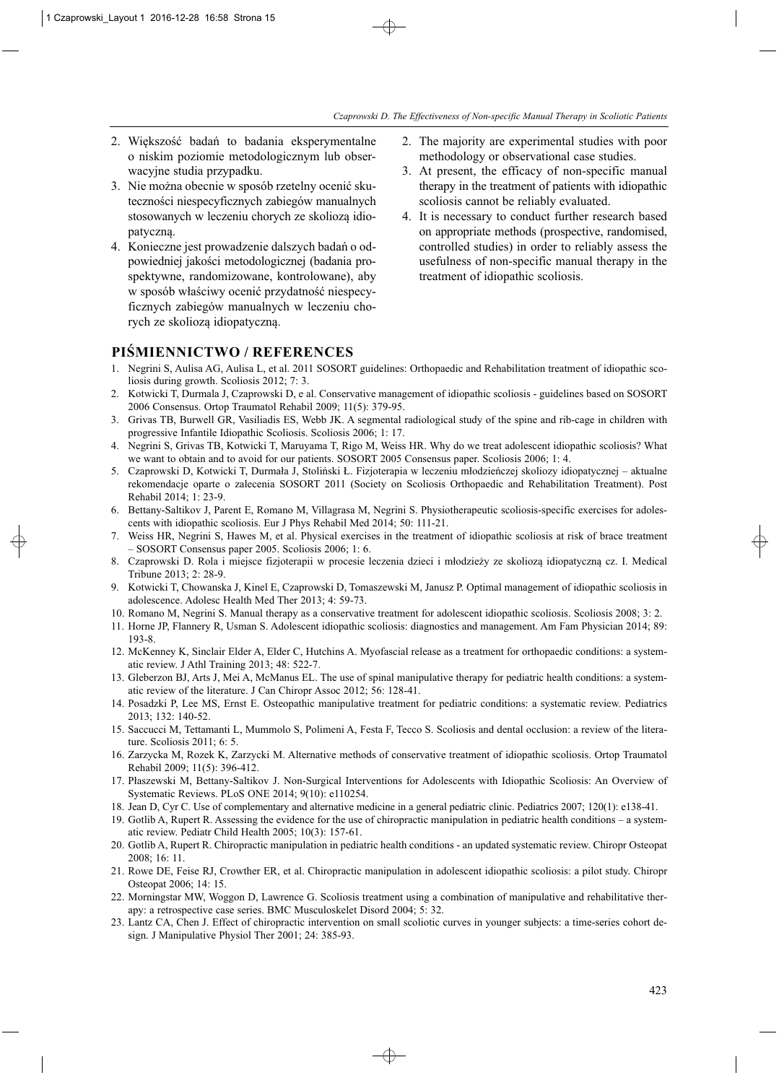- 2. Większość badań to badania eksperymentalne o niskim poziomie metodologicznym lub obserwacyjne studia przypadku.
- 3. Nie można obecnie w sposób rzetelny ocenić skuteczności niespecyficznych zabiegów manualnych stosowanych w leczeniu chorych ze skoliozą idio patyczną.
- 4. Konieczne jest prowadzenie dalszych badań o odpowiedniej jakości metodologicznej (badania prospektywne, randomizowane, kontrolowane), aby w sposób właściwy ocenić przydatność niespecyficznych zabiegów manualnych w leczeniu chorych ze skoliozą idiopatyczną.
- 2. The majority are experimental studies with poor methodology or observational case studies.
- 3. At present, the efficacy of non-specific manual therapy in the treatment of patients with idiopathic scoliosis cannot be reliably evaluated.
- 4. It is necessary to conduct further research based on appropriate methods (prospective, randomised, controlled studies) in order to reliably assess the usefulness of non-specific manual therapy in the treatment of idiopathic scoliosis.

# **PIŚMIENNICTWO / REFERENCES**

- 1. Negrini S, Aulisa AG, Aulisa L, et al. 2011 SOSORT guidelines: Orthopaedic and Rehabilitation treatment of idiopathic scoliosis during growth. Scoliosis 2012; 7: 3.
- 2. Kotwicki T, Durmala J, Czaprowski D, e al. Conservative management of idiopathic scoliosis guidelines based on SOSORT 2006 Consensus. Ortop Traumatol Rehabil 2009; 11(5): 379-95.
- 3. Grivas TB, Burwell GR, Vasiliadis ES, Webb JK. A segmental radiological study of the spine and rib-cage in children with progressive Infantile Idiopathic Scoliosis. Scoliosis 2006; 1: 17.
- 4. Negrini S, Grivas TB, Kotwicki T, Maruyama T, Rigo M, Weiss HR. Why do we treat adolescent idiopathic scoliosis? What we want to obtain and to avoid for our patients. SOSORT 2005 Consensus paper. Scoliosis 2006; 1: 4.
- 5. Czaprowski D, Kotwicki T, Durmała J, Stoliński Ł. Fizjoterapia w leczeniu młodzieńczej skoliozy idiopatycznej aktualne rekomendacje oparte o zalecenia SOSORT 2011 (Society on Scoliosis Orthopaedic and Rehabilitation Treatment). Post Rehabil 2014; 1: 23-9.
- 6. Bettany-Saltikov J, Parent E, Romano M, Villagrasa M, Negrini S. Physiotherapeutic scoliosis-specific exercises for adolescents with idiopathic scoliosis. Eur J Phys Rehabil Med 2014; 50: 111-21.
- 7. Weiss HR, Negrini S, Hawes M, et al. Physical exercises in the treatment of idiopathic scoliosis at risk of brace treatment – SOSORT Consensus paper 2005. Scoliosis 2006; 1: 6.
- 8. Czaprowski D. Rola i miejsce fizjoterapii w procesie leczenia dzieci i młodzieży ze skoliozą idiopatyczną cz. I. Medical Tribune 2013; 2: 28-9.
- 9. Kotwicki T, Chowanska J, Kinel E, Czaprowski D, Tomaszewski M, Janusz P. Optimal management of idiopathic scoliosis in adolescence. Adolesc Health Med Ther 2013; 4: 59-73.
- 10. Romano M, Negrini S. Manual therapy as a conservative treatment for adolescent idiopathic scoliosis. Scoliosis 2008; 3: 2.
- 11. Horne JP, Flannery R, Usman S. Adolescent idiopathic scoliosis: diagnostics and management. Am Fam Physician 2014; 89: 193-8.
- 12. McKenney K, Sinclair Elder A, Elder C, Hutchins A. Myofascial release as a treatment for orthopaedic conditions: a systematic review. J Athl Training 2013; 48: 522-7.
- 13. Gleberzon BJ, Arts J, Mei A, McManus EL. The use of spinal manipulative therapy for pediatric health conditions: a systematic review of the literature. J Can Chiropr Assoc 2012; 56: 128-41.
- 14. Posadzki P, Lee MS, Ernst E. Osteopathic manipulative treatment for pediatric conditions: a systematic review. Pediatrics 2013; 132: 140-52.
- 15. Saccucci M, Tettamanti L, Mummolo S, Polimeni A, Festa F, Tecco S. Scoliosis and dental occlusion: a review of the literature. Scoliosis 2011; 6: 5.
- 16. Zarzycka M, Rozek K, Zarzycki M. Alternative methods of conservative treatment of idiopathic scoliosis. Ortop Traumatol Rehabil 2009; 11(5): 396-412.
- 17. Płaszewski M, Bettany-Saltikov J. Non-Surgical Interventions for Adolescents with Idiopathic Scoliosis: An Overview of Systematic Reviews. PLoS ONE 2014; 9(10): e110254.
- 18. Jean D, Cyr C. Use of complementary and alternative medicine in a general pediatric clinic. Pediatrics 2007; 120(1): e138-41.
- 19. Gotlib A, Rupert R. Assessing the evidence for the use of chiropractic manipulation in pediatric health conditions a systematic review. Pediatr Child Health 2005; 10(3): 157-61.
- 20. Gotlib A, Rupert R. Chiropractic manipulation in pediatric health conditions an updated systematic review. Chiropr Osteopat 2008; 16: 11.
- 21. Rowe DE, Feise RJ, Crowther ER, et al. Chiropractic manipulation in adolescent idiopathic scoliosis: a pilot study. Chiropr Osteopat 2006; 14: 15.
- 22. Morningstar MW, Woggon D, Lawrence G. Scoliosis treatment using a combination of manipulative and rehabilitative therapy: a retrospective case series. BMC Musculoskelet Disord 2004; 5: 32.
- 23. Lantz CA, Chen J. Effect of chiropractic intervention on small scoliotic curves in younger subjects: a time-series cohort design. J Manipulative Physiol Ther 2001; 24: 385-93.